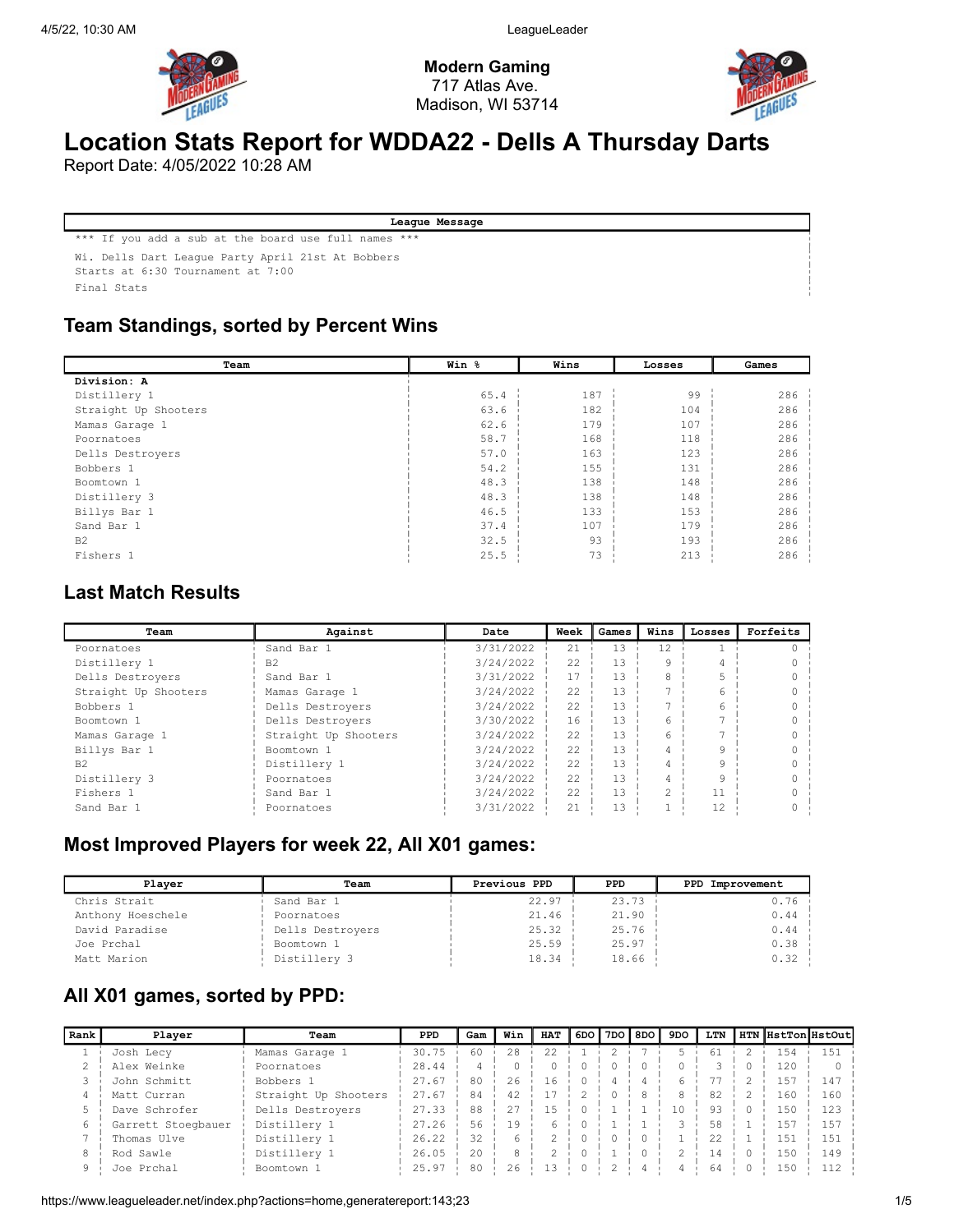

Modern Gaming 717 Atlas Ave. Madison, WI 53714



# Location Stats Report for WDDA22 - Dells A Thursday Darts

Report Date: 4/05/2022 10:28 AM

League Message

\*\*\* If you add a sub at the board use full names \*\*\*

Wi. Dells Dart League Party April 21st At Bobbers

Starts at 6:30 Tournament at 7:00

Final Stats

### Team Standings, sorted by Percent Wins

| Team                 | Win % | Wins | Losses | Games |
|----------------------|-------|------|--------|-------|
| Division: A          |       |      |        |       |
| Distillery 1         | 65.4  | 187  | 99     | 286   |
| Straight Up Shooters | 63.6  | 182  | 104    | 286   |
| Mamas Garage 1       | 62.6  | 179  | 107    | 286   |
| Poornatoes           | 58.7  | 168  | 118    | 286   |
| Dells Destrovers     | 57.0  | 163  | 123    | 286   |
| Bobbers 1            | 54.2  | 155  | 131    | 286   |
| Boomtown 1           | 48.3  | 138  | 148    | 286   |
| Distillery 3         | 48.3  | 138  | 148    | 286   |
| Billys Bar 1         | 46.5  | 133  | 153    | 286   |
| Sand Bar 1           | 37.4  | 107  | 179    | 286   |
| B <sub>2</sub>       | 32.5  | 93   | 193    | 286   |
| Fishers 1            | 25.5  | 73   | 213    | 286   |

### Last Match Results

| Team                 | Against              | Date      | Week | Games | Wins | Losses | Forfeits |
|----------------------|----------------------|-----------|------|-------|------|--------|----------|
| Poornatoes           | Sand Bar 1           | 3/31/2022 | 21   | 13    | 12   |        |          |
| Distillery 1         | B <sub>2</sub>       | 3/24/2022 | 22   | 13    |      |        |          |
| Dells Destrovers     | Sand Bar 1           | 3/31/2022 | 17   | 13    | 8    |        |          |
| Straight Up Shooters | Mamas Garage 1       | 3/24/2022 | 22   | 13    |      | 6      |          |
| Bobbers 1            | Dells Destrovers     | 3/24/2022 | 22   | 13    |      | 6.     |          |
| Boomtown 1           | Dells Destrovers     | 3/30/2022 | 16   | 13    | 6    |        |          |
| Mamas Garage 1       | Straight Up Shooters | 3/24/2022 | 22   | 1.3   | 6    |        |          |
| Billys Bar 1         | Boomtown 1           | 3/24/2022 | 22   | 13    | 4    | 9      |          |
| B <sub>2</sub>       | Distillery 1         | 3/24/2022 | 22   | 13    | 4    | 9      |          |
| Distillery 3         | Poornatoes           | 3/24/2022 | 22   | 13    | 4    | q      |          |
| Fishers 1            | Sand Bar 1           | 3/24/2022 | 22   | 13    | 2    | 11     |          |
| Sand Bar 1           | Poornatoes           | 3/31/2022 | 21   | 13    |      | 12     |          |

### Most Improved Players for week 22, All X01 games:

| Plaver            | Team             | Previous PPD | PPD   | PPD Improvement |
|-------------------|------------------|--------------|-------|-----------------|
| Chris Strait      | Sand Bar 1       | 22.97        | 23.73 | 0.76            |
| Anthony Hoeschele | Poornatoes       | 21.46        | 21.90 | 0.44            |
| David Paradise    | Dells Destroyers | 25.32        | 25.76 | 0.44            |
| Joe Prchal        | Boomtown 1       | 25.59        | 25.97 | 0.38            |
| Matt Marion       | Distillery 3     | 18.34        | 18.66 | 0.32            |

### All X01 games, sorted by PPD:

| Rank | Player             | Team                 | PPD   | Gam | Win | <b>HAT</b> |  | 6DO ∥7DO ∥8DO I | 9DO | LTN |                 | HTN HstTonHstOut |
|------|--------------------|----------------------|-------|-----|-----|------------|--|-----------------|-----|-----|-----------------|------------------|
|      | Josh Lecy          | Mamas Garage 1       | 30.75 | 60  | 2.8 | 22.2       |  |                 |     | 61  | 154             | 151              |
|      | Alex Weinke        | Poornatoes           | 28.44 |     |     |            |  |                 |     |     | 120             |                  |
|      | John Schmitt       | Bobbers 1            | 27.67 | 80  | 26  | 16         |  |                 |     |     | 1.57            | 147              |
|      | Matt Curran        | Straight Up Shooters | 27.67 | 84  | 42  |            |  |                 |     | 82  | 160             | 160              |
|      | Dave Schrofer      | Dells Destrovers     | 27.33 | 88  | 27  | 1.5        |  |                 | 10  | 93  | 15 <sub>C</sub> | 123              |
|      | Garrett Stoegbauer | Distillery 1         | 27.26 | 56  | 19  |            |  |                 |     | 58  | 157             | 157              |
|      | Thomas Ulve        | Distillery 1         | 26.22 | 32  |     |            |  |                 |     | 22  | 151             | 15 <sup>2</sup>  |
| 8    | Rod Sawle          | Distillery 1         | 26.05 | 20  |     |            |  |                 |     | 14  | 150             | 149              |
| 9    | Joe Prchal         | Boomtown 1           | 25.97 | 80  | 26  | 13         |  |                 |     | 64  | 15 <sub>C</sub> |                  |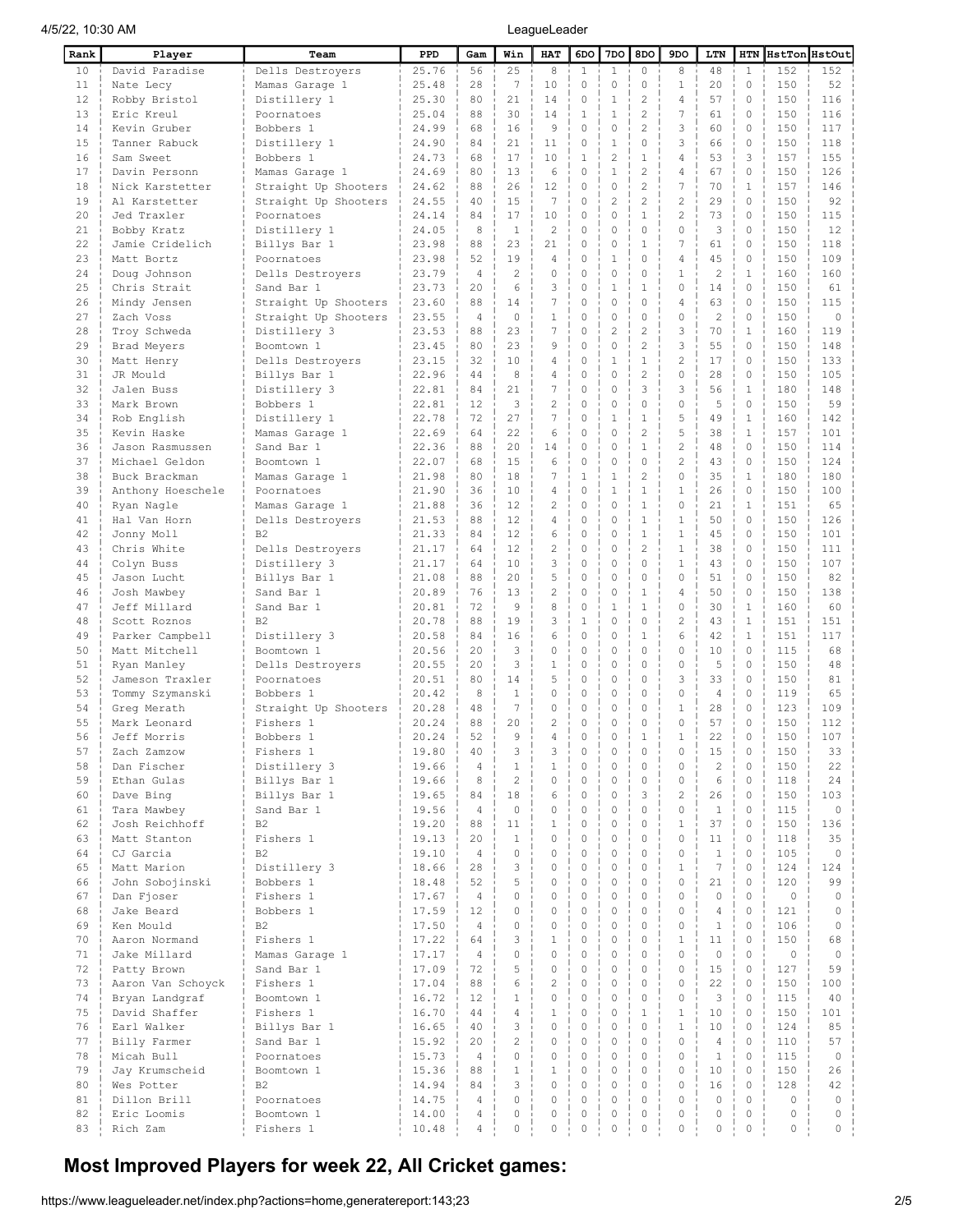| Rank     | Player                     | Team                    | PPD            | Gam                  | Win            | HAT                        | 6DO           | 7DO              | 8DO                         | 9DO                          | LTN            | HTN                        | HstTon HstOut |                     |
|----------|----------------------------|-------------------------|----------------|----------------------|----------------|----------------------------|---------------|------------------|-----------------------------|------------------------------|----------------|----------------------------|---------------|---------------------|
| 10       | David Paradise             | Dells Destroyers        | 25.76          | 56                   | 25             | 8                          | $\mathbf{1}$  | $\mathbf{1}$     | $\circ$                     | 8                            | 48             | $\mathbf{1}$               | 152           | 152                 |
| 11       | Nate Lecy                  | Mamas Garage 1          | 25.48          | 28                   | 7              | 10                         | 0             | 0                | 0                           | $\mathbf{1}$                 | 20             | 0                          | 150           | 52                  |
| 12       | Robby Bristol              | Distillery 1            | 25.30          | 80                   | 21             | 14                         | 0             | $\mathbf{1}$     | $\overline{2}$              | 4                            | 57             | $\mathbf 0$                | 150           | 116                 |
| 13       | Eric Kreul                 | Poornatoes              | 25.04          | 88                   | 30             | 14                         | $\mathbf{1}$  | $\mathbf{1}$     | $\overline{c}$              | 7                            | 61             | $\mathbf 0$                | 150           | 116                 |
| 14       | Kevin Gruber               | Bobbers 1               | 24.99          | 68                   | 16             | 9                          | 0             | 0                | $\overline{c}$              | 3                            | 60             | $\mathbf 0$                | 150           | 117                 |
| 15       | Tanner Rabuck              | Distillery 1            | 24.90          | 84                   | 21             | 11                         | 0             | $\mathbf{1}$     | $\mathbf{0}$                | 3                            | 66             | $\mathbf 0$                | 150           | 118                 |
| 16       | Sam Sweet                  | Bobbers 1               | 24.73          | 68                   | 17             | 10                         | 1             | $\overline{2}$   | $\mathbf{1}$                | 4                            | 53             | 3                          | 157           | 155                 |
| 17       | Davin Personn              | Mamas Garage 1          | 24.69          | 80                   | 13             | 6                          | 0             | $\mathbf{1}$     | $\overline{c}$              | 4                            | 67             | $\circ$                    | 150           | 126                 |
| 18       | Nick Karstetter            | Straight Up Shooters    | 24.62          | 88                   | 26             | 12                         | 0             | 0                | $\overline{c}$              | 7                            | 70             | $\mathbf{1}$               | 157           | 146                 |
| 19       | Al Karstetter              | Straight Up Shooters    | 24.55          | 40                   | 15             | $\overline{7}$             | 0             | 2                | $\overline{2}$              | $\overline{\mathbf{c}}$      | 29             | $\Omega$                   | 150           | 92                  |
| 20       | Jed Traxler                | Poornatoes              | 24.14          | 84                   | 17             | 10                         | 0             | $\Omega$         | $\mathbf{1}$                | 2                            | 73             | 0                          | 150           | 115                 |
| 21       | Bobby Kratz                | Distillery 1            | 24.05          | 8                    | $\mathbf{1}$   | $\overline{2}$             | 0             | 0                | 0                           | 0                            | 3              | $\circ$                    | 150           | 12                  |
| 22       | Jamie Cridelich            | Billys Bar 1            | 23.98          | 88                   | 23             | 21                         | 0             | $\mathbf 0$      | $\mathbf{1}$                | 7                            | 61             | $\circ$                    | 150           | 118                 |
| 23       | Matt Bortz                 | Poornatoes              | 23.98          | 52                   | 19             | 4                          | 0             | 1                | $\mathbf 0$                 | 4                            | 45             | $\mathbf 0$                | 150           | 109                 |
| 24       | Doug Johnson               | Dells Destroyers        | 23.79          | 4                    | $\overline{c}$ | 0                          | 0             | 0                | $\mathbf{0}$                | $\mathbf{1}$                 | $\overline{c}$ | $\mathbf{1}$               | 160           | 160                 |
| 25       | Chris Strait               | Sand Bar 1              | 23.73          | 20                   | 6              | 3                          | 0             | 1                | $\mathbf{1}$                | 0                            | 14             | $\mathbf 0$                | 150           | 61                  |
| 26       | Mindy Jensen               | Straight Up Shooters    | 23.60          | 88                   | 14             | 7                          | 0             | 0                | $\mathbf{0}$                | 4                            | 63             | $\mathbf 0$                | 150           | 115                 |
| 27       | Zach Voss                  | Straight Up Shooters    | 23.55          | 4                    | $\mathbf 0$    | $\mathbf 1$                | 0             | 0                | $\mathbf 0$                 | $\mathbf 0$                  | $\overline{c}$ | $\mathbf 0$                | 150           | $\mathbf 0$         |
| 28       | Troy Schweda               | Distillery 3            | 23.53          | 88                   | 23             | 7                          | 0             | 2                | $\overline{c}$              | 3                            | 70             | $\mathbf{1}$               | 160           | 119                 |
| 29       | Brad Meyers                | Boomtown 1              | 23.45          | 80                   | 23             | 9                          | $\Omega$      | $\Omega$         | $\overline{c}$              | 3                            | 55             | $\mathbf 0$                | 150           | 148                 |
| 30       | Matt Henry                 | Dells Destroyers        | 23.15          | 32                   | 10             | 4                          | 0             | 1                | $\mathbf{1}$                | 2                            | 17             | $\circ$                    | 150           | 133                 |
| 31       | JR Mould                   | Billys Bar 1            | 22.96          | 44                   | 8              | 4                          | 0             | 0                | $\overline{2}$              | 0                            | 28             | 0                          | 150           | 105                 |
| 32       | Jalen Buss                 | Distillery 3            | 22.81          | 84                   | 21             | 7                          | 0             | 0                | 3                           | 3                            | 56             | $\mathbf{1}$               | 180           | 148                 |
| 33       | Mark Brown                 | Bobbers 1               | 22.81          | 12                   | 3              | $\overline{c}$             | 0             | 0                | $\mathbf 0$                 | 0                            | 5              | $\circ$                    | 150           | 59                  |
| 34       | Rob English                | Distillery 1            | 22.78          | 72                   | 27             | 7                          | 0             | 1                | $\mathbf{1}$                | 5                            | 49             | $\mathbf{1}$               | 160           | 142                 |
| 35       | Kevin Haske                | Mamas Garage 1          | 22.69          | 64                   | 22             | 6                          | 0             | $\Omega$         | $\overline{c}$              | 5                            | 38             | $\mathbf{1}$               | 157           | 101                 |
| 36       | Jason Rasmussen            | Sand Bar 1              | 22.36          | 88                   | 20             | 14                         | 0             | 0                | $\mathbf{1}$                | $\overline{c}$               | 48             | $\mathbf 0$                | 150           | 114                 |
| 37       | Michael Geldon             | Boomtown 1              | 22.07          | 68                   | 15             | 6                          | 0             | 0                | $\mathbf 0$                 | $\overline{c}$               | 43             | 0                          | 150           | 124                 |
| 38       | Buck Brackman              | Mamas Garage 1          | 21.98          | 80                   | 18             | 7                          | $\mathbf{1}$  | 1                | $\overline{c}$              | 0                            | 35             | $\mathbf 1$                | 180           | 180                 |
| 39       | Anthony Hoeschele          | Poornatoes              | 21.90          | 36                   | 10             | 4                          | 0             | 1                | $\mathbf{1}$                | $\mathbf{1}$                 | 26             | $\mathbf 0$                | 150           | 100                 |
| 40       | Ryan Nagle                 | Mamas Garage 1          | 21.88          | 36                   | 12             | 2                          | 0             | 0                | $\mathbf{1}$                | 0                            | 21             | $\mathbf 1$                | 151           | 65                  |
| 41       | Hal Van Horn               | Dells Destroyers        | 21.53          | 88                   | 12             | 4                          | 0             | 0                | $\mathbf{1}$                | 1                            | 50             | $\circ$                    | 150           | 126                 |
| 42       | Jonny Moll                 | <b>B2</b>               | 21.33          | 84                   | 12             | 6                          | 0             | 0                | $\mathbf{1}$                | $\mathbf{1}$                 | 45             | 0                          | 150           | 101                 |
| 43       | Chris White                | Dells Destroyers        | 21.17          | 64                   | 12             | $\overline{c}$             | 0             | 0                | $\overline{c}$              | $\mathbf{1}$                 | 38             | $\mathbf 0$                | 150           | 111                 |
| 44       | Colyn Buss                 | Distillery 3            | 21.17          | 64                   | 10             | 3                          | 0             | 0                | $\mathbf 0$                 | $\mathbf{1}$                 | 43             | $\mathbf 0$                | 150           | 107                 |
| 45       | Jason Lucht                | Billys Bar 1            | 21.08          | 88                   | 20             | 5                          | 0             | 0                | $\mathbf 0$                 | 0                            | 51             | $\mathbf 0$                | 150           | 82                  |
| 46       | Josh Mawbey                | Sand Bar 1              | 20.89          | 76                   | 13             | $\overline{c}$             | 0             | 0                | $\mathbf{1}$                | 4                            | 50             | 0                          | 150           | 138                 |
| 47       | Jeff Millard               | Sand Bar 1              | 20.81          | 72                   | 9              | 8                          | 0             | 1                | $\mathbf{1}$                | 0                            | 30             | $\mathbf{1}$               | 160           | 60                  |
| 48       | Scott Roznos               | B <sub>2</sub>          | 20.78          | 88                   | 19             | 3                          | 1             | $\Omega$         | $\mathbf{0}$                | 2                            | 43             | $\mathbf{1}$               | 151           | 151                 |
| 49       | Parker Campbell            | Distillery 3            | 20.58          | 84                   | 16             | 6                          | 0             | 0                | 1                           | 6                            | 42             | $\mathbf{1}$               | 151           | 117                 |
| 50       | Matt Mitchell              | Boomtown 1              | 20.56          | 20                   | 3              | $\mathbf 0$                | 0             | 0                | $\mathbf{0}$                | 0                            | 10             | $\circ$                    | 115           | 68                  |
| 51       | Ryan Manley                | Dells Destroyers        | 20.55          | 20                   | 3              | $\mathbf 1$                | 0             | 0                | $\mathbf{0}$                | 0                            | 5              | $\circ$                    | 150           | 48                  |
| 52       | Jameson Traxler            | Poornatoes              | 20.51          | 80                   | 14             | 5                          | 0             | 0                | $\mathbf{0}$                | 3                            | 33             | $\circ$                    | 150           | 81                  |
| 53       | Tommy Szymanski            | Bobbers 1               | 20.42          | 8                    | $\mathbf{1}$   | 0                          | 0             | 0                | $\mathbf{0}$                | 0                            | 4              | 0                          | 119           | 65                  |
| 54       | Greg Merath                | Straight Up Shooters    | 20.28          | 48                   | 7              | 0                          | 0             | 0                | 0                           | $\mathbf{1}$                 | 28             | 0                          | 123           | 109                 |
| 55       | Mark Leonard               | Fishers 1               | 20.24          | 88                   | 20             | $\overline{c}$             | 0             | 0                | $\mathbf 0$                 | 0                            | 57             | 0                          | 150           | 112                 |
| 56       | Jeff Morris                | Bobbers 1               | 20.24          | 52                   | 9              | 4                          | 0             | $\Omega$         | $\mathbf{1}$                | $\mathbf{1}$                 | 22             | $\Omega$                   | 150           | 107                 |
| 57       | Zach Zamzow                | Fishers 1               | 19.80          | 40                   | 3              | 3                          | 0             | 0                | 0                           | 0                            | 15             | 0                          | 150           | 33                  |
| 58       | Dan Fischer                | Distillery 3            | 19.66          | 4                    | $\mathbf{1}$   | $\mathbf{1}$               | 0             | 0                | $\mathbb O$                 | 0                            | $\overline{c}$ | 0                          | 150           | 22                  |
| 59       | Ethan Gulas                | Billys Bar 1            | 19.66          | 8                    | $\mathbf{2}$   | $\mathbf 0$                | 0             | 0                | $\circ$                     | $\circ$                      | 6              | $\circ$                    | 118           | 24                  |
| 60       | Dave Bing                  | Billys Bar 1            | 19.65          | 84                   | 18             | 6                          | $\circ$       | $\mathbf 0$      | 3                           | $\overline{c}$               | 26             | 0                          | 150           | 103                 |
| 61       | Tara Mawbey                | Sand Bar 1              | 19.56          | $\overline{4}$       | $\mathbf 0$    | $\mathbf 0$                | $\mathbf 0$   | 0                | $\circ$                     | 0                            | $\mathbf{1}$   | $\circ$                    | 115           | $\mathsf{O}\xspace$ |
| 62       | Josh Reichhoff             | <b>B2</b>               | 19.20          | 88                   | 11             | $\mathbf{1}$               | 0             | 0                | $\mathbf 0$                 | $\mathbf{1}$                 | 37             | $\circ$                    | 150           | 136                 |
| 63       | Matt Stanton               | Fishers 1               | 19.13          | 20                   | $\mathbf{1}$   | $\mathbf 0$                | 0             | 0                | $\mathbf 0$                 | 0                            | 11             | $\circ$                    | 118           | 35                  |
| 64       | CJ Garcia                  | B2                      | 19.10          | 4                    | $\circ$        | $\mathbf 0$                | 0             | 0                | $\mathbf 0$                 | 0                            | $\mathbf{1}$   | $\circ$                    | 105           | $\mathbb O$         |
| 65       | Matt Marion                | Distillery 3            | 18.66          | 28                   | 3              | $\mathbf 0$                | 0             | 0                | $\mathbf 0$                 | $\mathbf{1}$                 | 7              | $\mathbf 0$                | 124           | 124                 |
| 66       | John Sobojinski            | Bobbers 1               | 18.48          | 52                   | 5<br>0         | $\mathbf 0$<br>$\mathbf 0$ | 0<br>$\Omega$ | 0<br>$\Omega$    | $\mathbf 0$                 | $\mathbf 0$<br>0             | 21<br>$\Omega$ | $\mathbf 0$<br>$\mathbf 0$ | 120           | 99                  |
| 67       | Dan Fjoser                 | Fishers 1               | 17.67          | $\overline{4}$       |                |                            |               |                  | $\mathbf 0$                 |                              |                |                            | $\mathbf{0}$  | $\circ$             |
| 68       | Jake Beard                 | Bobbers 1               | 17.59          | 12                   | $\circ$        | $\mathbf 0$                | 0             | 0                | $\mathbf 0$                 | $\circ$                      | $\overline{4}$ | $\circ$                    | 121           | $\mathbf 0$         |
| 69       | Ken Mould                  | B2                      | 17.50          | $\overline{4}$       | $\circ$        | $\mathbb O$                | 0             | $\mathbf 0$      | $\circ$                     | 0                            | $\mathbf{1}$   | 0                          | 106           | $\mathsf{O}\xspace$ |
| 70       | Aaron Normand              | Fishers 1               | 17.22          | 64                   | 3              | $1\,$<br>$\mathbf 0$       | 0             | 0<br>$\Omega$    | $\mathbf 0$                 | $1\,$                        | 11             | $\circ$                    | 150           | 68                  |
| 71<br>72 | Jake Millard               | Mamas Garage 1          | 17.17          | 4<br>72              | $\circ$<br>5   | $\mathbf 0$                | 0<br>0        | 0                | $\mathbf 0$<br>$\mathbf 0$  | 0<br>0                       | $\circ$        | $\circ$<br>$\circ$         | $\mathbf{0}$  | 0<br>59             |
|          | Patty Brown                | Sand Bar 1              | 17.09          |                      | 6              | $\overline{c}$             | 0             | 0                | $\mathbf 0$                 |                              | 15             | $\circ$                    | 127           |                     |
| 73       | Aaron Van Schoyck          | Fishers 1               | 17.04          | 88                   | $1\,$          | $\circ$                    | 0             | 0                | $\mathbf 0$                 | 0<br>0                       | 22<br>3        | $\circ$                    | 150           | 100<br>40           |
| 74       | Bryan Landgraf             | Boomtown 1              | 16.72          | 12                   | $\overline{4}$ |                            | 0             |                  |                             |                              |                |                            | 115           |                     |
| 75       | David Shaffer              | Fishers 1               | 16.70          | 44<br>40             | 3              | $1\,$<br>$\mathbf 0$       | $\Omega$      | 0<br>$\Omega$    | $\mathbf{1}$<br>$\mathbf 0$ | $\mathbf{1}$<br>$\mathbf{1}$ | 10<br>10       | 0                          | 150           | 101                 |
| 76       | Earl Walker                | Billys Bar 1            | 16.65          |                      | $\overline{2}$ | $\mathbf 0$                | 0             |                  | $\circ$                     | $\circ$                      | $\overline{4}$ | 0<br>$\circ$               | 124           | 85                  |
| 77<br>78 | Billy Farmer               | Sand Bar 1              | 15.92          | 20<br>$\overline{4}$ | $\circ$        | $\circ$                    | 0             | 0<br>$\mathbf 0$ | $\circ$                     | 0                            | $\mathbf{1}$   | 0                          | 110<br>115    | 57<br>0             |
| 79       | Micah Bull                 | Poornatoes              | 15.73<br>15.36 | 88                   | $\mathbf{1}$   | $1\,$                      | 0             | 0                | $\circ$                     | 0                            | 10             | $\circ$                    | 150           | 26                  |
| 80       | Jay Krumscheid             | Boomtown 1<br><b>B2</b> |                | 84                   | 3              | $\circ$                    | $\circ$       | $\mathbf 0$      | $\circ$                     | 0                            | 16             | $\circ$                    | 128           | 42                  |
| 81       | Wes Potter<br>Dillon Brill | Poornatoes              | 14.94<br>14.75 | 4                    | $\mathbf 0$    | $\mathbb O$                | $\mathbf 0$   | $\mathbf 0$      | $\mathbf 0$                 | $\mathbf 0$                  | $\circ$        | $\circ$                    | 0             | $\circ$             |
| 82       | Eric Loomis                | Boomtown 1              | 14.00          | 4                    | $\mathbb O$    | $\mathbb O$                | 0             | 0                | $\mathbf 0$                 | $\mathbf 0$                  | 0              | $\mathbf 0$                | 0             | $\mathbb O$         |
| 83       | Rich Zam                   | Fishers 1               |                | $\overline{4}$       | $\mathbf 0$    | $\mathbb O$                | 0             | 0                | $\mathbb O$                 | 0                            | 0              | $\circ$                    | 0             | $\circ$             |
|          |                            |                         | 10.48          |                      |                |                            |               |                  |                             |                              |                |                            |               |                     |

## Most Improved Players for week 22, All Cricket games: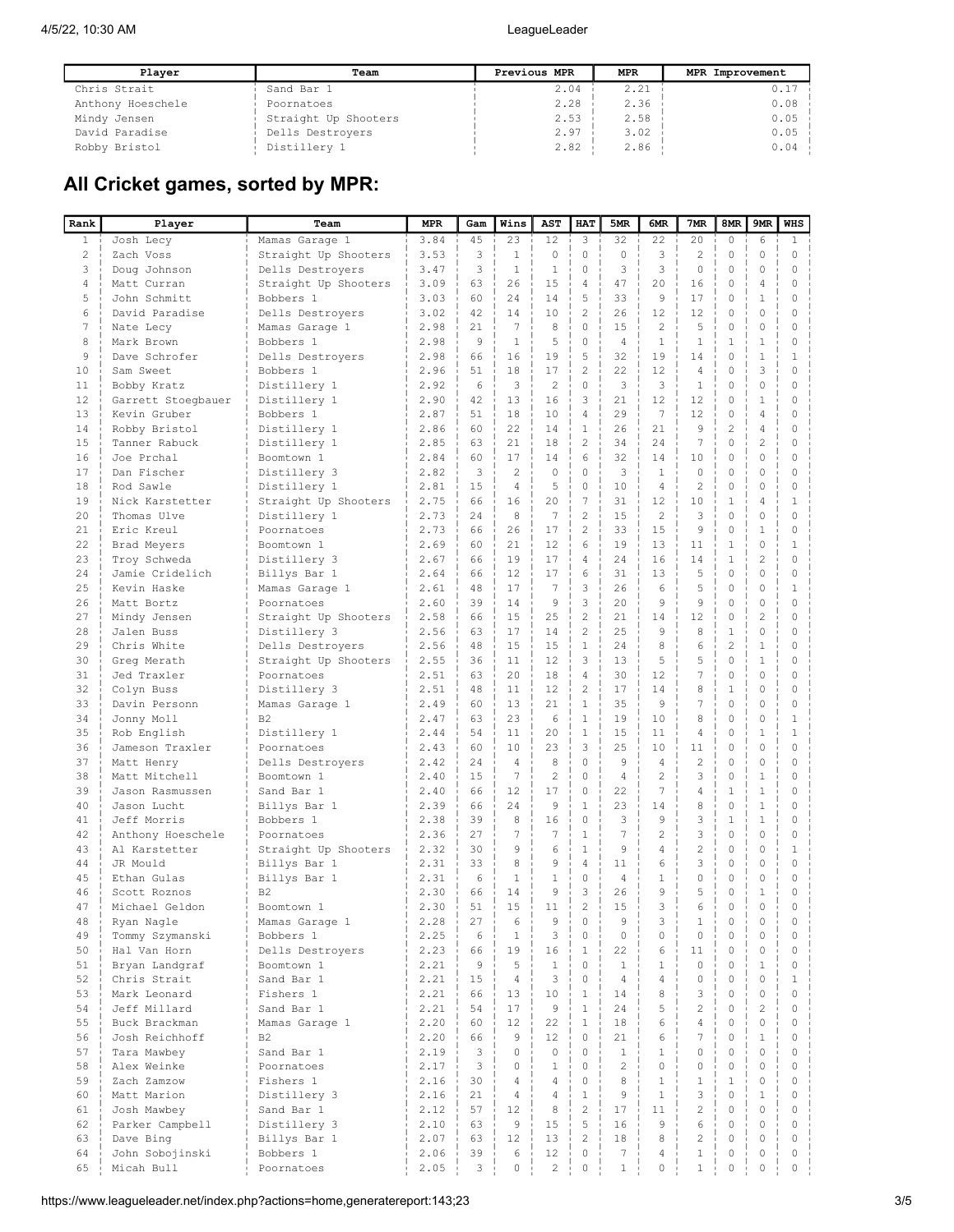| Plaver            | Team                 | Previous MPR | <b>MPR</b> | MPR Improvement |
|-------------------|----------------------|--------------|------------|-----------------|
| Chris Strait      | Sand Bar 1           | 2.04         | 2.21       | 0.17            |
| Anthony Hoeschele | Poornatoes           | 2.28         | 2.36       | 0.08            |
| Mindy Jensen      | Straight Up Shooters | 2.53         | 2.58       | 0.05            |
| David Paradise    | Dells Destrovers     | 2.97         | 3.02       | 0.05            |
| Robby Bristol     | Distillery 1         | 2.82         | 2.86       | 0.04            |

# All Cricket games, sorted by MPR:

| Rank           | Player                         | Team                      | <b>MPR</b>   | Gam      | Wins           | AST                  | HAT                       | 5MR            | 6MR                              | 7MR                     | 8MR                     | 9MR                          | <b>WHS</b>             |
|----------------|--------------------------------|---------------------------|--------------|----------|----------------|----------------------|---------------------------|----------------|----------------------------------|-------------------------|-------------------------|------------------------------|------------------------|
| $\mathbf{1}$   | Josh Lecy                      | Mamas Garage 1            | 3.84         | 45       | 23             | 12                   | 3                         | 32             | 22                               | 20                      | $\circ$                 | 6                            | $\mathbf{1}$           |
| 2              | Zach Voss                      | Straight Up Shooters      | 3.53         | 3        | $\mathbf{1}$   | $\circ$              | $\circ$                   | $\Omega$       | 3                                | 2                       | $\circ$                 | 0                            | $\circ$                |
| 3              | Doug Johnson                   | Dells Destrovers          | 3.47         | 3        | $\mathbf{1}$   | $\mathbf{1}$         | $\circ$                   | 3              | 3                                | $\mathbf{0}$            | 0                       | 0                            | $\mathbf 0$            |
| $\overline{4}$ | Matt Curran                    | Straight Up Shooters      | 3.09         | 63       | 26             | 15                   | $\overline{4}$            | 47             | 20                               | 16                      | 0                       | 4                            | $\mathbf 0$            |
| 5              | John Schmitt                   | Bobbers 1                 | 3.03         | 60       | 24             | 14                   | 5                         | 33             | 9                                | 17                      | 0                       | $\mathbf{1}$                 | $\mathbf 0$            |
| 6              | David Paradise                 | Dells Destroyers          | 3.02         | 42       | 14             | 10                   | $\overline{2}$            | 26             | 12                               | 12                      | 0                       | 0                            | 0                      |
| 7              | Nate Lecy                      | Mamas Garage 1            | 2.98         | 21       | 7              | 8                    | $\circ$                   | 15             | $\overline{c}$                   | 5                       | 0                       | 0                            | $\mathbf 0$            |
| 8              | Mark Brown                     | Bobbers 1                 | 2.98         | 9        | $\mathbf{1}$   | 5                    | $\circ$                   | $\overline{4}$ | $\mathbf{1}$                     | $\mathbf{1}$            | $\mathbf{1}$            | $\mathbf{1}$                 | $\circ$                |
| 9              | Dave Schrofer                  | Dells Destroyers          | 2.98         | 66       | 16             | 19                   | 5                         | 32             | 19                               | 14                      | 0                       | $\mathbf{1}$                 | $\mathbf{1}$           |
| 10             | Sam Sweet                      | Bobbers 1                 | 2.96         | 51       | 18             | 17                   | $\overline{c}$            | 22             | 12                               | $\overline{4}$          | 0                       | 3                            | $\Omega$               |
| 11             | Bobby Kratz                    | Distillery 1              | 2.92         | 6        | 3              | 2                    | $\circ$                   | 3              | 3                                | $\mathbf{1}$            | 0                       | 0                            | 0                      |
| 12             | Garrett Stoegbauer             | Distillery 1              | 2.90         | 42       | 13<br>18       | 16                   | 3<br>$\overline{4}$       | 21<br>29       | 12<br>7                          | 12<br>12                | $\circ$<br>0            | $\mathbf{1}$<br>4            | $\circ$<br>$\mathbf 0$ |
| 13<br>14       | Kevin Gruber<br>Robby Bristol  | Bobbers 1<br>Distillery 1 | 2.87<br>2.86 | 51<br>60 | 22             | 10<br>14             | $\mathbf{1}$              | 26             | 21                               | 9                       | $\overline{c}$          | 4                            | $\mathbf 0$            |
| 15             | Tanner Rabuck                  | Distillery 1              | 2.85         | 63       | 21             | 18                   | $\overline{2}$            | 34             | 2.4                              | 7                       | 0                       | $\overline{c}$               | $\circ$                |
| 16             | Joe Prchal                     | Boomtown 1                | 2.84         | 60       | 17             | 14                   | 6                         | 32             | 14                               | 10                      | 0                       | $\mathbf 0$                  | $\mathbf 0$            |
| 17             | Dan Fischer                    | Distillery 3              | 2.82         | 3        | $\overline{c}$ | $\circ$              | $\circ$                   | 3              | $\mathbf{1}$                     | $\mathbf{0}$            | 0                       | 0                            | $\circ$                |
| 18             | Rod Sawle                      | Distillery 1              | 2.81         | 15       | $\overline{4}$ | 5                    | $\circ$                   | 10             | 4                                | $\overline{c}$          | 0                       | 0                            | $\circ$                |
| 19             | Nick Karstetter                | Straight Up Shooters      | 2.75         | 66       | 16             | 20                   | 7                         | 31             | 12                               | 10                      | 1                       | 4                            | $\mathbf{1}$           |
| 20             | Thomas Ulve                    | Distillery 1              | 2.73         | 24       | 8              | $\overline{7}$       | $\sqrt{2}$                | 15             | $\overline{c}$                   | 3                       | 0                       | 0                            | 0                      |
| 21             | Eric Kreul                     | Poornatoes                | 2.73         | 66       | 26             | 17                   | $\overline{c}$            | 33             | 15                               | 9                       | 0                       | $\mathbf{1}$                 | $\mathbf 0$            |
| 22             | Brad Meyers                    | Boomtown 1                | 2.69         | 60       | 21             | 12                   | 6                         | 19             | 13                               | 11                      | $\mathbf{1}$            | 0                            | $\mathbf{1}$           |
| 23             | Troy Schweda                   | Distillery 3              | 2.67         | 66       | 19             | 17                   | $\overline{4}$            | 24             | 16                               | 14                      | $\mathbf{1}$            | $\overline{c}$               | $\mathbf 0$            |
| 24             | Jamie Cridelich                | Billys Bar 1              | 2.64         | 66       | 12             | 17                   | 6                         | 31             | 13                               | 5                       | 0                       | $\circ$                      | $\mathbf 0$            |
| 25             | Kevin Haske                    | Mamas Garage 1            | 2.61         | 48       | 17             | 7                    | 3                         | 26             | 6                                | 5                       | $\circ$                 | 0                            | $\mathbf{1}$           |
| 26             | Matt Bortz                     | Poornatoes                | 2.60         | 39       | 14             | 9                    | 3                         | 20             | 9                                | 9                       | 0                       | 0                            | $\mathbf 0$            |
| 27             | Mindy Jensen                   | Straight Up Shooters      | 2.58         | 66       | 15             | 25                   | $\overline{c}$            | 21             | 14                               | 12                      | 0                       | $\overline{c}$               | $\circ$                |
| 28             | Jalen Buss                     | Distillery 3              | 2.56         | 63       | 17             | 14                   | $\overline{c}$            | 25             | 9                                | 8                       | 1                       | 0                            | $\circ$                |
| 29             | Chris White                    | Dells Destrovers          | 2.56         | 48       | 15             | 15                   | $\mathbf{1}$              | 24             | 8                                | 6                       | $\overline{c}$          | 1                            | 0                      |
| 30             | Greg Merath                    | Straight Up Shooters      | 2.55         | 36       | 11             | 12                   | 3                         | 13             | 5                                | 5                       | 0                       | $\mathbf{1}$                 | $\circ$                |
| 31             | Jed Traxler                    | Poornatoes                | 2.51         | 63       | 20             | 18                   | $\overline{4}$            | 30             | 12                               | 7                       | 0                       | 0                            | 0                      |
| 32             | Colyn Buss                     | Distillery 3              | 2.51         | 48       | 11             | 12                   | $\overline{c}$            | 17             | 14                               | 8                       | $\mathbf{1}$            | 0                            | $\mathbf 0$            |
| 33             | Davin Personn                  | Mamas Garage 1            | 2.49         | 60       | 13             | 21                   | $1\,$                     | 35             | 9                                | 7                       | $\mathbf 0$             | 0                            | $\mathbf 0$            |
| 34             | Jonny Moll                     | B <sub>2</sub>            | 2.47         | 63       | 23             | 6                    | $\mathbf{1}$              | 19             | 10                               | 8                       | 0                       | $\circ$                      | $\mathbf{1}$           |
| 35             | Rob English                    | Distillery 1              | 2.44         | 54       | 11             | 20                   | $\mathbf{1}$              | 15             | 11                               | $\overline{4}$          | 0                       | $\mathbf{1}$                 | $1\,$                  |
| 36             | Jameson Traxler                | Poornatoes                | 2.43         | 60       | 10             | 23                   | 3                         | 25             | 10                               | 11                      | 0                       | 0                            | $\circ$                |
| 37             | Matt Henry                     | Dells Destroyers          | 2.42         | 24       | $\overline{4}$ | 8                    | $\circ$                   | 9              | $\overline{4}$<br>$\mathfrak{D}$ | $\overline{c}$          | 0                       | 0                            | $\circ$                |
| 38<br>39       | Matt Mitchell                  | Boomtown 1                | 2.40         | 15<br>66 | 7<br>12        | $\overline{c}$<br>17 | $\circ$<br>$\Omega$       | 4<br>22        | 7                                | 3<br>$\overline{4}$     | $\circ$<br>$\mathbf{1}$ | $\mathbf{1}$<br>$\mathbf{1}$ | $\circ$<br>0           |
| 40             | Jason Rasmussen<br>Jason Lucht | Sand Bar 1                | 2.40<br>2.39 | 66       | 24             | 9                    | $\mathbf{1}$              | 23             | 14                               | 8                       | 0                       | $\mathbf{1}$                 | 0                      |
| 41             | Jeff Morris                    | Billys Bar 1<br>Bobbers 1 | 2.38         | 39       | 8              | 16                   | $\circ$                   | 3              | 9                                | 3                       | $\mathbf{1}$            | $\mathbf{1}$                 | $\mathbf 0$            |
| 42             | Anthony Hoeschele              | Poornatoes                | 2.36         | 27       | 7              | 7                    | $\mathbf{1}$              | 7              | 2                                | 3                       | $\mathbf 0$             | 0                            | $\circ$                |
| 43             | Al Karstetter                  | Straight Up Shooters      | 2.32         | 30       | 9              | 6                    | $\,1\,$                   | 9              | 4                                | $\overline{c}$          | $\circ$                 | $\circ$                      | $\mathbf{1}$           |
| 44             | JR Mould                       | Billys Bar 1              | 2.31         | 33       | 8              | 9                    | $\overline{4}$            | 11             | 6                                | 3                       | 0                       | 0                            | 0                      |
| 45             | Ethan Gulas                    | Billys Bar 1              | 2.31         | 6        | 1              | $\mathbf{1}$         | $\circ$                   | $\overline{4}$ | $\mathbf{1}$                     | $\mathbf 0$             | 0                       | 0                            | 0                      |
| 46             | Scott Roznos                   | B <sub>2</sub>            | 2.30         | 66       | 14             | 9                    | 3                         | 26             | 9                                | 5                       | 0                       | 1                            | 0                      |
| 47             | Michael Geldon                 | Boomtown 1                | 2.30         | 51       | 15             | 11                   | $\overline{2}$            | 15             | 3                                | 6                       | 0                       | $\Omega$                     | $\Omega$               |
| 48             | Ryan Nagle                     | Mamas Garage 1            | 2.28         | 27       | 6              | 9                    | $\circ$                   | 9              | 3                                | 1                       | 0                       | 0                            | $\circ$                |
| 49             | Tommy Szymanski                | Bobbers 1                 | 2.25         | 6        | $\mathbf{1}$   | 3                    | 0                         | $\mathbf 0$    | $\circ$                          | $\mathbb O$             | $\circ$                 | 0                            | $\circ$                |
| 50             | Hal Van Horn                   | Dells Destroyers          | 2.23         | 66       | 19             | 16                   | $1\,$                     | 22             | 6                                | 11                      | $\mathbf 0$             | $\circ$                      | $\circ$                |
| 51             | Bryan Landgraf                 | Boomtown 1                | 2.21         | 9        | 5              | $\mathbf{1}$         | $\circ$                   | $\mathbf{1}$   | $\mathbf{1}$                     | $\circ$                 | $\mathbf 0$             | $\mathbf{1}$                 | $\circ$                |
| 52             | Chris Strait                   | Sand Bar 1                | 2.21         | 15       | $\overline{4}$ | 3                    | $\circ$                   | $\overline{4}$ | 4                                | $\circ$                 | $\mathbf 0$             | $\circ$                      | $\mathbf{1}$           |
| 53             | Mark Leonard                   | Fishers 1                 | 2.21         | 66       | 13             | 10                   | $\mathbf{1}$              | 14             | 8                                | 3                       | $\circ$                 | $\circ$                      | $\circ$                |
| 54             | Jeff Millard                   | Sand Bar 1                | 2.21         | 54       | 17             | $\overline{9}$       | $\,1\,$                   | 24             | 5                                | $\overline{2}$          | $\mathbf 0$             | $\overline{c}$               | $\mathbf 0$            |
| 55             | Buck Brackman                  | Mamas Garage 1            | 2.20         | 60       | 12             | 22                   | $\mathbf{1}$              | 18             | 6                                | $\overline{4}$          | $\mathbf 0$             | $\circ$                      | $\mathbf 0$            |
| 56             | Josh Reichhoff                 | B2                        | 2.20         | 66       | 9              | 12                   | $\circ$                   | 21             | 6                                | 7                       | $\mathbf 0$             | $\mathbf{1}$                 | $\mathbf 0$            |
| 57             | Tara Mawbey                    | Sand Bar 1                | 2.19         | 3        | $\circ$        | $\circ$              | $\Omega$                  | $\mathbf{1}$   | $\mathbf{1}$                     | $\mathbf 0$             | 0                       | $\circ$                      | $\mathbf 0$            |
| 58             | Alex Weinke                    | Poornatoes                | 2.17         | 3        | 0              | $\mathbf{1}$         | $\Omega$                  | $\overline{2}$ | $\Omega$                         | $\circ$                 | $\mathbf 0$             | $\Omega$                     | 0                      |
| 59             | Zach Zamzow                    | Fishers 1                 | 2.16         | 30       | $\overline{4}$ | $\overline{4}$       | $\circ$                   | 8              | $\mathbf{1}$                     | $1\,$                   | $\mathbf{1}$            | $\circ$                      | $\mathbf 0$            |
| 60             | Matt Marion                    | Distillery 3              | 2.16         | 21       | $\overline{4}$ | $\overline{4}$       | $\mathbf{1}$              | 9              | $\mathbf{1}$                     | 3                       | $\mathbf 0$             | $\mathbf{1}$                 | $\circ$                |
| 61             | Josh Mawbey                    | Sand Bar 1                | 2.12         | 57       | 12             | 8                    | $\overline{c}$            | 17             | 11                               | $\overline{c}$          | $\mathbf 0$             | $\circ$                      | $\mathbf 0$            |
| 62             | Parker Campbell                | Distillery 3              | 2.10         | 63       | 9              | 15                   | 5                         | 16             | 9                                | 6                       | $\circ$                 | $\Omega$                     | $\mathbf 0$            |
| 63             | Dave Bing                      | Billys Bar 1              | 2.07         | 63<br>39 | 12             | 13<br>12             | $\overline{c}$<br>$\circ$ | 18<br>7        | 8<br>4                           | $\overline{c}$<br>$1\,$ | $\circ$<br>$\mathbb O$  | $\circ$<br>0                 | $\circ$<br>$\circ$     |
| 64<br>65       | John Sobojinski                | Bobbers 1                 | 2.06         | 3        | 6<br>0         | $\mathbf{2}$         | 0                         | $\mathbf{1}$   | 0                                | $\mathbf{1}$            | 0                       | 0                            | $\mathbb O$            |
|                | Micah Bull                     | Poornatoes                | 2.05         |          |                |                      |                           |                |                                  |                         |                         |                              |                        |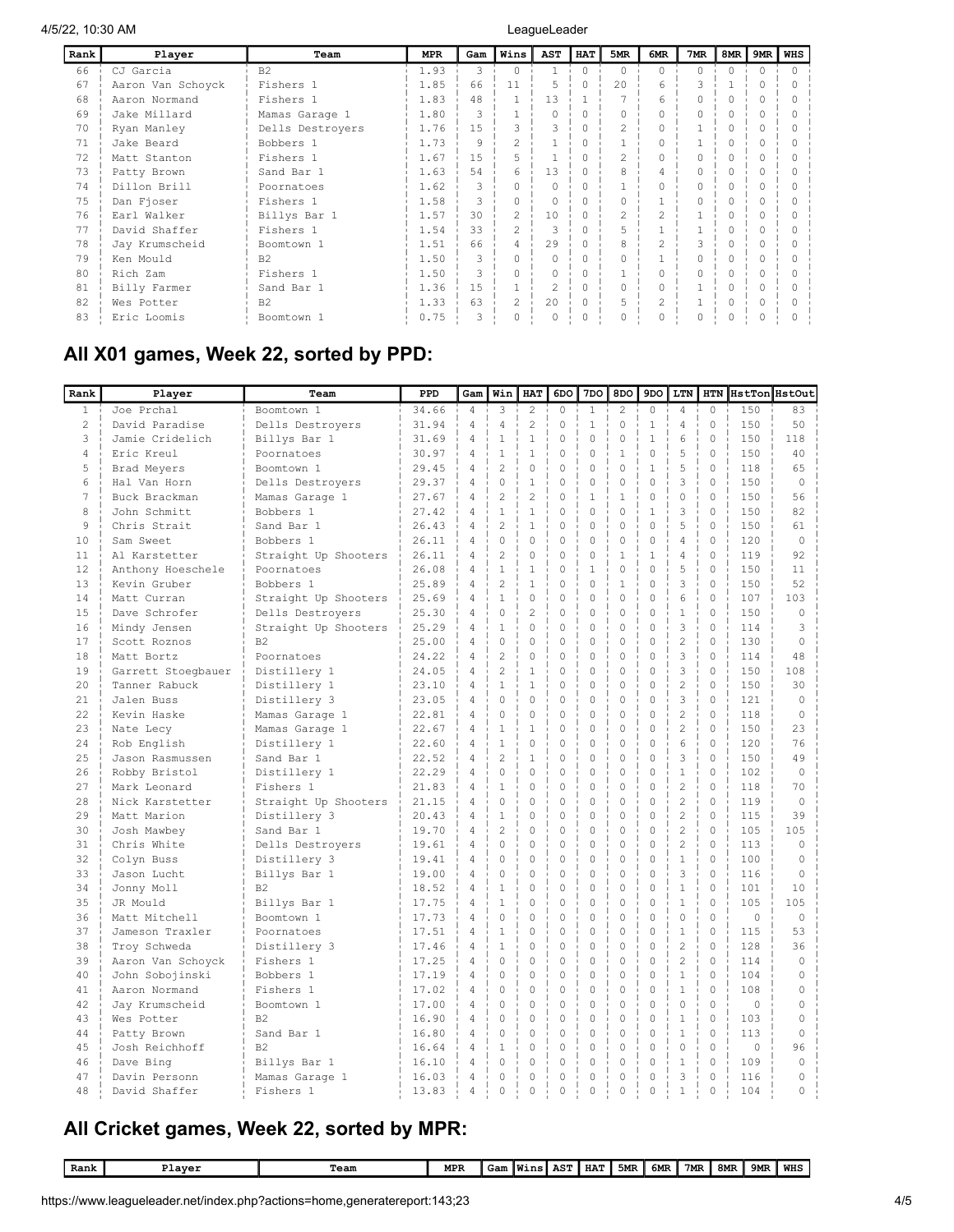| Rank | Player            | Team             | MPR  | Gam           | Wins           | <b>AST</b>     | <b>HAT</b> | 5MR      | 6MR            | 7MR           | 8MR       | 9MR       | <b>WHS</b> |
|------|-------------------|------------------|------|---------------|----------------|----------------|------------|----------|----------------|---------------|-----------|-----------|------------|
| 66   | CJ Garcia         | B2               | 1.93 | 3             | $\Omega$       |                | $\Omega$   | $\Omega$ | $\bigcap$      | $\Omega$      | $\bigcap$ | $\bigcap$ | O.         |
| 67   | Aaron Van Schoyck | Fishers 1        | 1.85 | 66            | 11             | 5              | Ω          | 2.0      | 6              |               |           |           |            |
| 68   | Aaron Normand     | Fishers 1        | 1.83 | 48            |                | 13             |            |          | 6              |               |           |           |            |
| 69   | Jake Millard      | Mamas Garage 1   | 1.80 |               |                |                | Ω          |          |                |               |           |           |            |
| 70   | Ryan Manley       | Dells Destrovers | 1.76 | 1.5           |                |                | 0          |          |                |               |           |           |            |
| 71   | Jake Beard        | Bobbers 1        | 1.73 | 9             | $\overline{a}$ |                | O          |          |                |               |           |           |            |
| 72   | Matt Stanton      | Fishers 1        | 1.67 | 1.5           | 5              |                | 0          | 2        |                |               |           |           |            |
| 73   | Patty Brown       | Sand Bar 1       | 1.63 | 54            | 6              | 13             | 0          |          |                |               |           |           |            |
| 74   | Dillon Brill      | Poornatoes       | 1.62 | 3             |                |                | Λ          |          |                |               |           |           |            |
| 75   | Dan Fioser        | Fishers 1        | 1.58 |               |                |                | 0          |          |                |               |           |           |            |
| 76   | Earl Walker       | Billys Bar 1     | 1.57 | 30            | $\mathfrak{D}$ | 10             | 0          | 2        | $\mathcal{D}$  |               |           |           |            |
| 77   | David Shaffer     | Fishers 1        | 1.54 | 33            | $\mathfrak{D}$ |                | 0          |          |                |               |           |           |            |
| 78   | Jay Krumscheid    | Boomtown 1       | 1.51 | 66            |                | 29             | O          | 8        | $\mathcal{D}$  | $\mathcal{L}$ |           |           |            |
| 79   | Ken Mould         | B <sub>2</sub>   | 1.50 |               |                |                |            |          |                |               |           |           |            |
| 80   | Rich Zam          | Fishers 1        | 1.50 | $\mathcal{L}$ | $\cap$         | 0              | O          |          |                | $\cap$        |           | ∩         |            |
| 81   | Billy Farmer      | Sand Bar 1       | 1.36 | 1.5           |                | $\mathfrak{D}$ | O          | 0        | $\cap$         |               | $\cap$    | ∩         |            |
| 82   | Wes Potter        | B <sub>2</sub>   | 1.33 | 63            | $\mathfrak{D}$ | 20             | $\Omega$   | 5        | $\overline{c}$ |               |           |           |            |
| 83   | Eric Loomis       | Boomtown 1       | 0.75 | 3             |                |                |            |          |                |               |           |           |            |

# All X01 games, Week 22, sorted by PPD:

| $\mathbf{1}$<br>Joe Prchal<br>34.66<br>$\overline{4}$<br>3<br>$\overline{c}$<br>$\mathbf 0$<br>$\mathbf{1}$<br>$\overline{c}$<br>$\circ$<br>$\overline{4}$<br>$\Omega$<br>150<br>Boomtown 1<br>83<br>$\overline{c}$<br>31.94<br>$\overline{2}$<br>David Paradise<br>4<br>4<br>0<br>$\mathbf{1}$<br>$\circ$<br>$\mathbf{1}$<br>4<br>$\Omega$<br>150<br>50<br>Dells Destrovers<br>6<br>3<br>Jamie Cridelich<br>$\overline{4}$<br>$\mathbf{1}$<br>$\mathbf{1}$<br>$\Omega$<br>$\mathbf 0$<br>0<br>$\mathbf{1}$<br>$\Omega$<br>150<br>118<br>Billys Bar 1<br>31.69<br>$\circ$<br>5<br>$\circ$<br>4<br>Eric Kreul<br>30.97<br>4<br>$\mathbf{1}$<br>$\mathbf{1}$<br>0<br>$\mathbf 0$<br>$\mathbf{1}$<br>150<br>40<br>Poornatoes<br>5<br>5<br>$\overline{4}$<br>$\overline{c}$<br>$\Omega$<br>$\Omega$<br>$\mathbf 0$<br>$\Omega$<br>$\mathbf{1}$<br>$\Omega$<br>118<br>65<br>29.45<br>Brad Meyers<br>Boomtown 1<br>3<br>$\Omega$<br>$\mathbf{1}$<br>$\circ$<br>$\circ$<br>$\Omega$<br>$\mathbf 0$<br>150<br>6<br>Dells Destroyers<br>29.37<br>$\overline{4}$<br>0<br>$\mathbf{0}$<br>Hal Van Horn<br>7<br>$\overline{c}$<br>$\overline{c}$<br>$\circ$<br>$\overline{0}$<br>$\circ$<br>56<br>Buck Brackman<br>4<br>0<br>$\mathbf{1}$<br>$\mathbf{1}$<br>150<br>Mamas Garage 1<br>27.67<br>8<br>$\mathbf{1}$<br>3<br>$\mathbf{1}$<br>$\Omega$<br>$\Omega$<br>$\Omega$<br>$\mathbf{1}$<br>$\Omega$<br>150<br>82<br>John Schmitt<br>Bobbers 1<br>27.42<br>$\overline{4}$<br>$\overline{c}$<br>5<br>9<br>26.43<br>$\overline{4}$<br>$\mathbf{1}$<br>0<br>$\mathbf 0$<br>$\mathbf 0$<br>$\mathbf 0$<br>$\mathbf 0$<br>150<br>Chris Strait<br>Sand Bar 1<br>61<br>$\mathbf 0$<br>$\circ$<br>$\mathbf 0$<br>$\circ$<br>4<br>$\circ$<br>10<br>Sam Sweet<br>26.11<br>4<br>0<br>$\mathbf 0$<br>120<br>$\circ$<br>Bobbers 1<br>$\overline{4}$<br>$\overline{c}$<br>$\mathbf{1}$<br>$\overline{4}$<br>$\Omega$<br>$\Omega$<br>$\Omega$<br>$\Omega$<br>$\mathbf{1}$<br>11<br>Al Karstetter<br>Straight Up Shooters<br>26.11<br>119<br>92<br>5<br>$\overline{4}$<br>$\mathbf{1}$<br>$\mathbf{1}$<br>$\Omega$<br>$\mathbf{1}$<br>$\Omega$<br>$\Omega$<br>$\Omega$<br>12<br>Anthony Hoeschele<br>26.08<br>150<br>11<br>Poornatoes<br>3<br>$\overline{4}$<br>$\overline{c}$<br>$\mathbf{1}$<br>$\mathbf{1}$<br>$\circ$<br>$\circ$<br>52<br>13<br>25.89<br>0<br>$\mathbf 0$<br>150<br>Kevin Gruber<br>Bobbers 1<br>$\mathbf{1}$<br>6<br>$\overline{4}$<br>$\Omega$<br>$\Omega$<br>$\Omega$<br>$\Omega$<br>$\Omega$<br>$\Omega$<br>103<br>14<br>Matt Curran<br>Straight Up Shooters<br>25.69<br>107<br>$\overline{4}$<br>$\overline{c}$<br>$\Omega$<br>$\circ$<br>$\Omega$<br>$\circ$<br>$\mathbf{1}$<br>$\Omega$<br>15<br>Dave Schrofer<br>Dells Destroyers<br>25.30<br>$\Omega$<br>150<br>$\Omega$<br>3<br>$\mathbf{1}$<br>$\Omega$<br>$\Omega$<br>$\Omega$<br>$\Omega$<br>16<br>25.29<br>$\overline{4}$<br>$\Omega$<br>$\Omega$<br>114<br>3<br>Mindy Jensen<br>Straight Up Shooters<br>$\overline{c}$<br>$\Omega$<br>17<br>$\overline{4}$<br>$\Omega$<br>0<br>$\mathbf 0$<br>$\Omega$<br>$\Omega$<br>130<br>Scott Roznos<br>B <sub>2</sub><br>25.00<br>$\Omega$<br>$\Omega$<br>3<br>$\overline{c}$<br>$\circ$<br>$\Omega$<br>18<br>24.22<br>4<br>0<br>0<br>$\mathbf 0$<br>$\Omega$<br>114<br>48<br>Matt Bortz<br>Poornatoes<br>$\overline{c}$<br>3<br>$\overline{4}$<br>$\Omega$<br>$\Omega$<br>$\Omega$<br>19<br>$\mathbf{1}$<br>$\Omega$<br>$\Omega$<br>150<br>108<br>Garrett Stoegbauer<br>Distillery 1<br>24.05<br>$\overline{c}$<br>$\mathbf{1}$<br>$\mathbf{1}$<br>20<br>4<br>$\Omega$<br>$\mathbf 0$<br>$\Omega$<br>$\Omega$<br>$\Omega$<br>30<br>Tanner Rabuck<br>Distillery 1<br>150<br>23.10<br>3<br>$\overline{4}$<br>$\circ$<br>$\mathbf 0$<br>$\circ$<br>$\circ$<br>21<br>Jalen Buss<br>Distillery 3<br>23.05<br>0<br>0<br>0<br>121<br>$\mathbf 0$<br>$\Omega$<br>$\overline{c}$<br>$\Omega$<br>22.2<br>$\overline{4}$<br>$\Omega$<br>0<br>$\Omega$<br>$\circ$<br>$\Omega$<br>118<br>Kevin Haske<br>Mamas Garage 1<br>22.81<br>$\Omega$<br>$\overline{c}$<br>23<br>4<br>$\mathbf{1}$<br>$\mathbf{1}$<br>0<br>$\circ$<br>$\mathbf 0$<br>$\mathbf 0$<br>$\Omega$<br>150<br>23<br>22.67<br>Nate Lecy<br>Mamas Garage 1<br>$\mathbf{1}$<br>$\circ$<br>6<br>$\circ$<br>24<br>22.60<br>4<br>0<br>0<br>$\mathbb O$<br>$\circ$<br>120<br>76<br>Rob English<br>Distillery 1<br>$\overline{c}$<br>$\Omega$<br>3<br>$\Omega$<br>25<br>22.52<br>$\overline{4}$<br>$\mathbf{1}$<br>$\Omega$<br>$\mathbf 0$<br>$\Omega$<br>150<br>49<br>Sand Bar 1<br>Jason Rasmussen<br>4<br>0<br>0<br>$\mathbf 0$<br>$\mathbf 0$<br>$\mathbf 0$<br>$\mathbf{1}$<br>$\mathbf 0$<br>26<br>Distillery 1<br>22.29<br>0<br>102<br>$\mathbf 0$<br>Robby Bristol<br>$\overline{c}$<br>27<br>$\mathbf 0$<br>$\circ$<br>$\circ$<br>4<br>$\mathbf{1}$<br>0<br>0<br>$\circ$<br>118<br>70<br>Mark Leonard<br>Fishers 1<br>21.83<br>$\overline{c}$<br>$\Omega$<br>$\Omega$<br>28<br>$\Omega$<br>$\Omega$<br>$\Omega$<br>$\Omega$<br>$\Omega$<br>119<br>$\Omega$<br>Nick Karstetter<br>Straight Up Shooters<br>21.15<br>4<br>$\overline{2}$<br>29<br>$\mathbf{1}$<br>$\circ$<br>$\circ$<br>$\mathbf 0$<br>$\circ$<br>$\Omega$<br>39<br>Matt Marion<br>Distillery 3<br>20.43<br>4<br>0<br>115<br>$\overline{c}$<br>$\overline{c}$<br>$\circ$<br>$\circ$<br>30<br>Sand Bar 1<br>4<br>0<br>0<br>$\mathbf 0$<br>$\mathbf 0$<br>105<br>105<br>Josh Mawbey<br>19.70<br>$\overline{c}$<br>$\Omega$<br>0<br>$\Omega$<br>$\Omega$<br>$\Omega$<br>$\Omega$<br>$\Omega$<br>31<br>Chris White<br>Dells Destroyers<br>4<br>113<br>19.61<br>$\Omega$<br>32<br>$\Omega$<br>0<br>$\circ$<br>$\mathbf 0$<br>$\circ$<br>$\mathbf{1}$<br>$\Omega$<br>100<br>Distillery 3<br>$\overline{4}$<br>0<br>Colyn Buss<br>19.41<br>$\Omega$<br>3<br>$\Omega$<br>$\Omega$<br>33<br>4<br>$\Omega$<br>$\Omega$<br>$\Omega$<br>$\Omega$<br>$\Omega$<br>116<br>Jason Lucht<br>Billys Bar 1<br>19.00<br>$\Omega$<br>$\Omega$<br>$\Omega$<br>$\Omega$<br>$\mathbf{1}$<br>$\Omega$<br>101<br>34<br>Jonny Moll<br>B <sub>2</sub><br>18.52<br>4<br>$\mathbf{1}$<br>$\Omega$<br>0<br>10<br>$\mathbf{1}$<br>$\circ$<br>$\mathbf{1}$<br>$\Omega$<br>105<br>35<br>JR Mould<br>Billys Bar 1<br>17.75<br>4<br>0<br>0<br>$\mathbf 0$<br>$\mathbf 0$<br>105<br>$\Omega$<br>36<br>4<br>$\Omega$<br>$\Omega$<br>$\Omega$<br>$\Omega$<br>$\Omega$<br>$\Omega$<br>$\Omega$<br>$\Omega$<br>Matt Mitchell<br>Boomtown 1<br>17.73<br>$\Omega$<br>37<br>$\Omega$<br>$\mathbf{1}$<br>$\Omega$<br>53<br>Jameson Traxler<br>Poornatoes<br>17.51<br>4<br>$\mathbf{1}$<br>$\Omega$<br>0<br>$\Omega$<br>$\Omega$<br>115<br>$\overline{c}$<br>$\mathbf{1}$<br>$\circ$<br>$\Omega$<br>38<br>$\overline{4}$<br>$\Omega$<br>$\Omega$<br>$\mathbf 0$<br>0<br>128<br>36<br>Troy Schweda<br>Distillery 3<br>17.46<br>$\overline{c}$<br>39<br>$\Omega$<br>$\Omega$<br>$\Omega$<br>$\Omega$<br>$\Omega$<br>$\Omega$<br>114<br>Aaron Van Schoyck<br>Fishers 1<br>17.25<br>4<br>$\Omega$<br>$\Omega$<br>$\Omega$<br>$\Omega$<br>$\Omega$<br>104<br>40<br>John Sobojinski<br>Bobbers 1<br>17.19<br>4<br>$\Omega$<br>0<br>$\circ$<br>$\Omega$<br>$\mathbf{1}$<br>$\Omega$<br>41<br>4<br>0<br>0<br>0<br>$\mathbf 0$<br>$\circ$<br>$\mathbf 0$<br>$\mathbf{1}$<br>$\mathbf 0$<br>108<br>Aaron Normand<br>Fishers 1<br>17.02<br>0<br>42<br>$\overline{4}$<br>$\Omega$<br>$\Omega$<br>$\mathbf 0$<br>$\Omega$<br>$\Omega$<br>$\Omega$<br>$\Omega$<br>$\circ$<br>Jay Krumscheid<br>17.00<br>0<br>$\Omega$<br>Boomtown 1<br>$\mathbf 0$<br>43<br>B <sub>2</sub><br>$\overline{4}$<br>$\Omega$<br>0<br>0<br>$\circ$<br>$\circ$<br>$\circ$<br>$\mathbf{1}$<br>103<br>Wes Potter<br>16.90<br>$\Omega$<br>44<br>Sand Bar 1<br>16.80<br>4<br>$\Omega$<br>0<br>0<br>$\mathbf 0$<br>$\circ$<br>$\mathbf 0$<br>$\mathbf{1}$<br>$\mathbf 0$<br>113<br>Patty Brown<br>$\Omega$<br>45<br>4<br>$\mathbf{1}$<br>$\mathbf 0$<br>$\circ$<br>$\mathbf 0$<br>$\Omega$<br>$\Omega$<br>$\circ$<br>96<br>Josh Reichhoff<br>B <sub>2</sub><br>16.64<br>0<br>0<br>$\overline{4}$<br>$\circ$<br>$\circ$<br>109<br>46<br>Billys Bar 1<br>$\Omega$<br>0<br>$\Omega$<br>$\mathbf 0$<br>$\mathbf 0$<br>$\mathbf{1}$<br>$\Omega$<br>Dave Bing<br>16.10<br>3<br>$\Omega$<br>47<br>$\Omega$<br>$\Omega$<br>$\Omega$<br>$\Omega$<br>$\Omega$<br>$\Omega$<br>116<br>Davin Personn<br>Mamas Garage 1<br>16.03<br>4<br>$\Omega$ | Rank | Player        | Team      | PPD   | Gam | Win | HAT | 6DO | 7DO         | 8DO     | 9 <sub>D</sub> o | LTN          | <b>HTN</b>  |     | <b>HstTon HstOut</b> |
|------------------------------------------------------------------------------------------------------------------------------------------------------------------------------------------------------------------------------------------------------------------------------------------------------------------------------------------------------------------------------------------------------------------------------------------------------------------------------------------------------------------------------------------------------------------------------------------------------------------------------------------------------------------------------------------------------------------------------------------------------------------------------------------------------------------------------------------------------------------------------------------------------------------------------------------------------------------------------------------------------------------------------------------------------------------------------------------------------------------------------------------------------------------------------------------------------------------------------------------------------------------------------------------------------------------------------------------------------------------------------------------------------------------------------------------------------------------------------------------------------------------------------------------------------------------------------------------------------------------------------------------------------------------------------------------------------------------------------------------------------------------------------------------------------------------------------------------------------------------------------------------------------------------------------------------------------------------------------------------------------------------------------------------------------------------------------------------------------------------------------------------------------------------------------------------------------------------------------------------------------------------------------------------------------------------------------------------------------------------------------------------------------------------------------------------------------------------------------------------------------------------------------------------------------------------------------------------------------------------------------------------------------------------------------------------------------------------------------------------------------------------------------------------------------------------------------------------------------------------------------------------------------------------------------------------------------------------------------------------------------------------------------------------------------------------------------------------------------------------------------------------------------------------------------------------------------------------------------------------------------------------------------------------------------------------------------------------------------------------------------------------------------------------------------------------------------------------------------------------------------------------------------------------------------------------------------------------------------------------------------------------------------------------------------------------------------------------------------------------------------------------------------------------------------------------------------------------------------------------------------------------------------------------------------------------------------------------------------------------------------------------------------------------------------------------------------------------------------------------------------------------------------------------------------------------------------------------------------------------------------------------------------------------------------------------------------------------------------------------------------------------------------------------------------------------------------------------------------------------------------------------------------------------------------------------------------------------------------------------------------------------------------------------------------------------------------------------------------------------------------------------------------------------------------------------------------------------------------------------------------------------------------------------------------------------------------------------------------------------------------------------------------------------------------------------------------------------------------------------------------------------------------------------------------------------------------------------------------------------------------------------------------------------------------------------------------------------------------------------------------------------------------------------------------------------------------------------------------------------------------------------------------------------------------------------------------------------------------------------------------------------------------------------------------------------------------------------------------------------------------------------------------------------------------------------------------------------------------------------------------------------------------------------------------------------------------------------------------------------------------------------------------------------------------------------------------------------------------------------------------------------------------------------------------------------------------------------------------------------------------------------------------------------------------------------------------------------------------------------------------------------------------------------------------------------------------------------------------------------------------------------------------------------------------------------------------------------------------------------------------------------------------------------------------------------------------------------------------------------------------------------------------------------------------------------------------------------------------------------------------------------------------------------------------------------------------------------------------------------------------------------------------------------------------------------------------------------------------------------------------------------------------------------------------------------------------------------------------------------------------------------------------------------------------------------------------------------------------------------------------------------------------------------------------------------------------------------------------------------------------------------------------------------------------------------------------------------------------------------------------------------------------------------------------------------------------------------------------------------------------------------------------------------------------------------------------------------------------------------------------------------------------------------------------------------------------------------------------------------------------------------------------------------------------------------------------------------------------------------------------------------------------------------------------------------------------------------------------------------------------------------------------------------------------------------------------------------------------------|------|---------------|-----------|-------|-----|-----|-----|-----|-------------|---------|------------------|--------------|-------------|-----|----------------------|
|                                                                                                                                                                                                                                                                                                                                                                                                                                                                                                                                                                                                                                                                                                                                                                                                                                                                                                                                                                                                                                                                                                                                                                                                                                                                                                                                                                                                                                                                                                                                                                                                                                                                                                                                                                                                                                                                                                                                                                                                                                                                                                                                                                                                                                                                                                                                                                                                                                                                                                                                                                                                                                                                                                                                                                                                                                                                                                                                                                                                                                                                                                                                                                                                                                                                                                                                                                                                                                                                                                                                                                                                                                                                                                                                                                                                                                                                                                                                                                                                                                                                                                                                                                                                                                                                                                                                                                                                                                                                                                                                                                                                                                                                                                                                                                                                                                                                                                                                                                                                                                                                                                                                                                                                                                                                                                                                                                                                                                                                                                                                                                                                                                                                                                                                                                                                                                                                                                                                                                                                                                                                                                                                                                                                                                                                                                                                                                                                                                                                                                                                                                                                                                                                                                                                                                                                                                                                                                                                                                                                                                                                                                                                                                                                                                                                                                                                                                                                                                                                                                                                                                                                                                                                                                                                                                                                                                                                                                                                                                                                                                                                                                                                                                                                                                                                                                                                                            |      |               |           |       |     |     |     |     |             |         |                  |              |             |     |                      |
|                                                                                                                                                                                                                                                                                                                                                                                                                                                                                                                                                                                                                                                                                                                                                                                                                                                                                                                                                                                                                                                                                                                                                                                                                                                                                                                                                                                                                                                                                                                                                                                                                                                                                                                                                                                                                                                                                                                                                                                                                                                                                                                                                                                                                                                                                                                                                                                                                                                                                                                                                                                                                                                                                                                                                                                                                                                                                                                                                                                                                                                                                                                                                                                                                                                                                                                                                                                                                                                                                                                                                                                                                                                                                                                                                                                                                                                                                                                                                                                                                                                                                                                                                                                                                                                                                                                                                                                                                                                                                                                                                                                                                                                                                                                                                                                                                                                                                                                                                                                                                                                                                                                                                                                                                                                                                                                                                                                                                                                                                                                                                                                                                                                                                                                                                                                                                                                                                                                                                                                                                                                                                                                                                                                                                                                                                                                                                                                                                                                                                                                                                                                                                                                                                                                                                                                                                                                                                                                                                                                                                                                                                                                                                                                                                                                                                                                                                                                                                                                                                                                                                                                                                                                                                                                                                                                                                                                                                                                                                                                                                                                                                                                                                                                                                                                                                                                                                            |      |               |           |       |     |     |     |     |             |         |                  |              |             |     |                      |
|                                                                                                                                                                                                                                                                                                                                                                                                                                                                                                                                                                                                                                                                                                                                                                                                                                                                                                                                                                                                                                                                                                                                                                                                                                                                                                                                                                                                                                                                                                                                                                                                                                                                                                                                                                                                                                                                                                                                                                                                                                                                                                                                                                                                                                                                                                                                                                                                                                                                                                                                                                                                                                                                                                                                                                                                                                                                                                                                                                                                                                                                                                                                                                                                                                                                                                                                                                                                                                                                                                                                                                                                                                                                                                                                                                                                                                                                                                                                                                                                                                                                                                                                                                                                                                                                                                                                                                                                                                                                                                                                                                                                                                                                                                                                                                                                                                                                                                                                                                                                                                                                                                                                                                                                                                                                                                                                                                                                                                                                                                                                                                                                                                                                                                                                                                                                                                                                                                                                                                                                                                                                                                                                                                                                                                                                                                                                                                                                                                                                                                                                                                                                                                                                                                                                                                                                                                                                                                                                                                                                                                                                                                                                                                                                                                                                                                                                                                                                                                                                                                                                                                                                                                                                                                                                                                                                                                                                                                                                                                                                                                                                                                                                                                                                                                                                                                                                                            |      |               |           |       |     |     |     |     |             |         |                  |              |             |     |                      |
|                                                                                                                                                                                                                                                                                                                                                                                                                                                                                                                                                                                                                                                                                                                                                                                                                                                                                                                                                                                                                                                                                                                                                                                                                                                                                                                                                                                                                                                                                                                                                                                                                                                                                                                                                                                                                                                                                                                                                                                                                                                                                                                                                                                                                                                                                                                                                                                                                                                                                                                                                                                                                                                                                                                                                                                                                                                                                                                                                                                                                                                                                                                                                                                                                                                                                                                                                                                                                                                                                                                                                                                                                                                                                                                                                                                                                                                                                                                                                                                                                                                                                                                                                                                                                                                                                                                                                                                                                                                                                                                                                                                                                                                                                                                                                                                                                                                                                                                                                                                                                                                                                                                                                                                                                                                                                                                                                                                                                                                                                                                                                                                                                                                                                                                                                                                                                                                                                                                                                                                                                                                                                                                                                                                                                                                                                                                                                                                                                                                                                                                                                                                                                                                                                                                                                                                                                                                                                                                                                                                                                                                                                                                                                                                                                                                                                                                                                                                                                                                                                                                                                                                                                                                                                                                                                                                                                                                                                                                                                                                                                                                                                                                                                                                                                                                                                                                                                            |      |               |           |       |     |     |     |     |             |         |                  |              |             |     |                      |
|                                                                                                                                                                                                                                                                                                                                                                                                                                                                                                                                                                                                                                                                                                                                                                                                                                                                                                                                                                                                                                                                                                                                                                                                                                                                                                                                                                                                                                                                                                                                                                                                                                                                                                                                                                                                                                                                                                                                                                                                                                                                                                                                                                                                                                                                                                                                                                                                                                                                                                                                                                                                                                                                                                                                                                                                                                                                                                                                                                                                                                                                                                                                                                                                                                                                                                                                                                                                                                                                                                                                                                                                                                                                                                                                                                                                                                                                                                                                                                                                                                                                                                                                                                                                                                                                                                                                                                                                                                                                                                                                                                                                                                                                                                                                                                                                                                                                                                                                                                                                                                                                                                                                                                                                                                                                                                                                                                                                                                                                                                                                                                                                                                                                                                                                                                                                                                                                                                                                                                                                                                                                                                                                                                                                                                                                                                                                                                                                                                                                                                                                                                                                                                                                                                                                                                                                                                                                                                                                                                                                                                                                                                                                                                                                                                                                                                                                                                                                                                                                                                                                                                                                                                                                                                                                                                                                                                                                                                                                                                                                                                                                                                                                                                                                                                                                                                                                                            |      |               |           |       |     |     |     |     |             |         |                  |              |             |     |                      |
|                                                                                                                                                                                                                                                                                                                                                                                                                                                                                                                                                                                                                                                                                                                                                                                                                                                                                                                                                                                                                                                                                                                                                                                                                                                                                                                                                                                                                                                                                                                                                                                                                                                                                                                                                                                                                                                                                                                                                                                                                                                                                                                                                                                                                                                                                                                                                                                                                                                                                                                                                                                                                                                                                                                                                                                                                                                                                                                                                                                                                                                                                                                                                                                                                                                                                                                                                                                                                                                                                                                                                                                                                                                                                                                                                                                                                                                                                                                                                                                                                                                                                                                                                                                                                                                                                                                                                                                                                                                                                                                                                                                                                                                                                                                                                                                                                                                                                                                                                                                                                                                                                                                                                                                                                                                                                                                                                                                                                                                                                                                                                                                                                                                                                                                                                                                                                                                                                                                                                                                                                                                                                                                                                                                                                                                                                                                                                                                                                                                                                                                                                                                                                                                                                                                                                                                                                                                                                                                                                                                                                                                                                                                                                                                                                                                                                                                                                                                                                                                                                                                                                                                                                                                                                                                                                                                                                                                                                                                                                                                                                                                                                                                                                                                                                                                                                                                                                            |      |               |           |       |     |     |     |     |             |         |                  |              |             |     |                      |
|                                                                                                                                                                                                                                                                                                                                                                                                                                                                                                                                                                                                                                                                                                                                                                                                                                                                                                                                                                                                                                                                                                                                                                                                                                                                                                                                                                                                                                                                                                                                                                                                                                                                                                                                                                                                                                                                                                                                                                                                                                                                                                                                                                                                                                                                                                                                                                                                                                                                                                                                                                                                                                                                                                                                                                                                                                                                                                                                                                                                                                                                                                                                                                                                                                                                                                                                                                                                                                                                                                                                                                                                                                                                                                                                                                                                                                                                                                                                                                                                                                                                                                                                                                                                                                                                                                                                                                                                                                                                                                                                                                                                                                                                                                                                                                                                                                                                                                                                                                                                                                                                                                                                                                                                                                                                                                                                                                                                                                                                                                                                                                                                                                                                                                                                                                                                                                                                                                                                                                                                                                                                                                                                                                                                                                                                                                                                                                                                                                                                                                                                                                                                                                                                                                                                                                                                                                                                                                                                                                                                                                                                                                                                                                                                                                                                                                                                                                                                                                                                                                                                                                                                                                                                                                                                                                                                                                                                                                                                                                                                                                                                                                                                                                                                                                                                                                                                                            |      |               |           |       |     |     |     |     |             |         |                  |              |             |     |                      |
|                                                                                                                                                                                                                                                                                                                                                                                                                                                                                                                                                                                                                                                                                                                                                                                                                                                                                                                                                                                                                                                                                                                                                                                                                                                                                                                                                                                                                                                                                                                                                                                                                                                                                                                                                                                                                                                                                                                                                                                                                                                                                                                                                                                                                                                                                                                                                                                                                                                                                                                                                                                                                                                                                                                                                                                                                                                                                                                                                                                                                                                                                                                                                                                                                                                                                                                                                                                                                                                                                                                                                                                                                                                                                                                                                                                                                                                                                                                                                                                                                                                                                                                                                                                                                                                                                                                                                                                                                                                                                                                                                                                                                                                                                                                                                                                                                                                                                                                                                                                                                                                                                                                                                                                                                                                                                                                                                                                                                                                                                                                                                                                                                                                                                                                                                                                                                                                                                                                                                                                                                                                                                                                                                                                                                                                                                                                                                                                                                                                                                                                                                                                                                                                                                                                                                                                                                                                                                                                                                                                                                                                                                                                                                                                                                                                                                                                                                                                                                                                                                                                                                                                                                                                                                                                                                                                                                                                                                                                                                                                                                                                                                                                                                                                                                                                                                                                                                            |      |               |           |       |     |     |     |     |             |         |                  |              |             |     |                      |
|                                                                                                                                                                                                                                                                                                                                                                                                                                                                                                                                                                                                                                                                                                                                                                                                                                                                                                                                                                                                                                                                                                                                                                                                                                                                                                                                                                                                                                                                                                                                                                                                                                                                                                                                                                                                                                                                                                                                                                                                                                                                                                                                                                                                                                                                                                                                                                                                                                                                                                                                                                                                                                                                                                                                                                                                                                                                                                                                                                                                                                                                                                                                                                                                                                                                                                                                                                                                                                                                                                                                                                                                                                                                                                                                                                                                                                                                                                                                                                                                                                                                                                                                                                                                                                                                                                                                                                                                                                                                                                                                                                                                                                                                                                                                                                                                                                                                                                                                                                                                                                                                                                                                                                                                                                                                                                                                                                                                                                                                                                                                                                                                                                                                                                                                                                                                                                                                                                                                                                                                                                                                                                                                                                                                                                                                                                                                                                                                                                                                                                                                                                                                                                                                                                                                                                                                                                                                                                                                                                                                                                                                                                                                                                                                                                                                                                                                                                                                                                                                                                                                                                                                                                                                                                                                                                                                                                                                                                                                                                                                                                                                                                                                                                                                                                                                                                                                                            |      |               |           |       |     |     |     |     |             |         |                  |              |             |     |                      |
|                                                                                                                                                                                                                                                                                                                                                                                                                                                                                                                                                                                                                                                                                                                                                                                                                                                                                                                                                                                                                                                                                                                                                                                                                                                                                                                                                                                                                                                                                                                                                                                                                                                                                                                                                                                                                                                                                                                                                                                                                                                                                                                                                                                                                                                                                                                                                                                                                                                                                                                                                                                                                                                                                                                                                                                                                                                                                                                                                                                                                                                                                                                                                                                                                                                                                                                                                                                                                                                                                                                                                                                                                                                                                                                                                                                                                                                                                                                                                                                                                                                                                                                                                                                                                                                                                                                                                                                                                                                                                                                                                                                                                                                                                                                                                                                                                                                                                                                                                                                                                                                                                                                                                                                                                                                                                                                                                                                                                                                                                                                                                                                                                                                                                                                                                                                                                                                                                                                                                                                                                                                                                                                                                                                                                                                                                                                                                                                                                                                                                                                                                                                                                                                                                                                                                                                                                                                                                                                                                                                                                                                                                                                                                                                                                                                                                                                                                                                                                                                                                                                                                                                                                                                                                                                                                                                                                                                                                                                                                                                                                                                                                                                                                                                                                                                                                                                                                            |      |               |           |       |     |     |     |     |             |         |                  |              |             |     |                      |
|                                                                                                                                                                                                                                                                                                                                                                                                                                                                                                                                                                                                                                                                                                                                                                                                                                                                                                                                                                                                                                                                                                                                                                                                                                                                                                                                                                                                                                                                                                                                                                                                                                                                                                                                                                                                                                                                                                                                                                                                                                                                                                                                                                                                                                                                                                                                                                                                                                                                                                                                                                                                                                                                                                                                                                                                                                                                                                                                                                                                                                                                                                                                                                                                                                                                                                                                                                                                                                                                                                                                                                                                                                                                                                                                                                                                                                                                                                                                                                                                                                                                                                                                                                                                                                                                                                                                                                                                                                                                                                                                                                                                                                                                                                                                                                                                                                                                                                                                                                                                                                                                                                                                                                                                                                                                                                                                                                                                                                                                                                                                                                                                                                                                                                                                                                                                                                                                                                                                                                                                                                                                                                                                                                                                                                                                                                                                                                                                                                                                                                                                                                                                                                                                                                                                                                                                                                                                                                                                                                                                                                                                                                                                                                                                                                                                                                                                                                                                                                                                                                                                                                                                                                                                                                                                                                                                                                                                                                                                                                                                                                                                                                                                                                                                                                                                                                                                                            |      |               |           |       |     |     |     |     |             |         |                  |              |             |     |                      |
|                                                                                                                                                                                                                                                                                                                                                                                                                                                                                                                                                                                                                                                                                                                                                                                                                                                                                                                                                                                                                                                                                                                                                                                                                                                                                                                                                                                                                                                                                                                                                                                                                                                                                                                                                                                                                                                                                                                                                                                                                                                                                                                                                                                                                                                                                                                                                                                                                                                                                                                                                                                                                                                                                                                                                                                                                                                                                                                                                                                                                                                                                                                                                                                                                                                                                                                                                                                                                                                                                                                                                                                                                                                                                                                                                                                                                                                                                                                                                                                                                                                                                                                                                                                                                                                                                                                                                                                                                                                                                                                                                                                                                                                                                                                                                                                                                                                                                                                                                                                                                                                                                                                                                                                                                                                                                                                                                                                                                                                                                                                                                                                                                                                                                                                                                                                                                                                                                                                                                                                                                                                                                                                                                                                                                                                                                                                                                                                                                                                                                                                                                                                                                                                                                                                                                                                                                                                                                                                                                                                                                                                                                                                                                                                                                                                                                                                                                                                                                                                                                                                                                                                                                                                                                                                                                                                                                                                                                                                                                                                                                                                                                                                                                                                                                                                                                                                                                            |      |               |           |       |     |     |     |     |             |         |                  |              |             |     |                      |
|                                                                                                                                                                                                                                                                                                                                                                                                                                                                                                                                                                                                                                                                                                                                                                                                                                                                                                                                                                                                                                                                                                                                                                                                                                                                                                                                                                                                                                                                                                                                                                                                                                                                                                                                                                                                                                                                                                                                                                                                                                                                                                                                                                                                                                                                                                                                                                                                                                                                                                                                                                                                                                                                                                                                                                                                                                                                                                                                                                                                                                                                                                                                                                                                                                                                                                                                                                                                                                                                                                                                                                                                                                                                                                                                                                                                                                                                                                                                                                                                                                                                                                                                                                                                                                                                                                                                                                                                                                                                                                                                                                                                                                                                                                                                                                                                                                                                                                                                                                                                                                                                                                                                                                                                                                                                                                                                                                                                                                                                                                                                                                                                                                                                                                                                                                                                                                                                                                                                                                                                                                                                                                                                                                                                                                                                                                                                                                                                                                                                                                                                                                                                                                                                                                                                                                                                                                                                                                                                                                                                                                                                                                                                                                                                                                                                                                                                                                                                                                                                                                                                                                                                                                                                                                                                                                                                                                                                                                                                                                                                                                                                                                                                                                                                                                                                                                                                                            |      |               |           |       |     |     |     |     |             |         |                  |              |             |     |                      |
|                                                                                                                                                                                                                                                                                                                                                                                                                                                                                                                                                                                                                                                                                                                                                                                                                                                                                                                                                                                                                                                                                                                                                                                                                                                                                                                                                                                                                                                                                                                                                                                                                                                                                                                                                                                                                                                                                                                                                                                                                                                                                                                                                                                                                                                                                                                                                                                                                                                                                                                                                                                                                                                                                                                                                                                                                                                                                                                                                                                                                                                                                                                                                                                                                                                                                                                                                                                                                                                                                                                                                                                                                                                                                                                                                                                                                                                                                                                                                                                                                                                                                                                                                                                                                                                                                                                                                                                                                                                                                                                                                                                                                                                                                                                                                                                                                                                                                                                                                                                                                                                                                                                                                                                                                                                                                                                                                                                                                                                                                                                                                                                                                                                                                                                                                                                                                                                                                                                                                                                                                                                                                                                                                                                                                                                                                                                                                                                                                                                                                                                                                                                                                                                                                                                                                                                                                                                                                                                                                                                                                                                                                                                                                                                                                                                                                                                                                                                                                                                                                                                                                                                                                                                                                                                                                                                                                                                                                                                                                                                                                                                                                                                                                                                                                                                                                                                                                            |      |               |           |       |     |     |     |     |             |         |                  |              |             |     |                      |
|                                                                                                                                                                                                                                                                                                                                                                                                                                                                                                                                                                                                                                                                                                                                                                                                                                                                                                                                                                                                                                                                                                                                                                                                                                                                                                                                                                                                                                                                                                                                                                                                                                                                                                                                                                                                                                                                                                                                                                                                                                                                                                                                                                                                                                                                                                                                                                                                                                                                                                                                                                                                                                                                                                                                                                                                                                                                                                                                                                                                                                                                                                                                                                                                                                                                                                                                                                                                                                                                                                                                                                                                                                                                                                                                                                                                                                                                                                                                                                                                                                                                                                                                                                                                                                                                                                                                                                                                                                                                                                                                                                                                                                                                                                                                                                                                                                                                                                                                                                                                                                                                                                                                                                                                                                                                                                                                                                                                                                                                                                                                                                                                                                                                                                                                                                                                                                                                                                                                                                                                                                                                                                                                                                                                                                                                                                                                                                                                                                                                                                                                                                                                                                                                                                                                                                                                                                                                                                                                                                                                                                                                                                                                                                                                                                                                                                                                                                                                                                                                                                                                                                                                                                                                                                                                                                                                                                                                                                                                                                                                                                                                                                                                                                                                                                                                                                                                                            |      |               |           |       |     |     |     |     |             |         |                  |              |             |     |                      |
|                                                                                                                                                                                                                                                                                                                                                                                                                                                                                                                                                                                                                                                                                                                                                                                                                                                                                                                                                                                                                                                                                                                                                                                                                                                                                                                                                                                                                                                                                                                                                                                                                                                                                                                                                                                                                                                                                                                                                                                                                                                                                                                                                                                                                                                                                                                                                                                                                                                                                                                                                                                                                                                                                                                                                                                                                                                                                                                                                                                                                                                                                                                                                                                                                                                                                                                                                                                                                                                                                                                                                                                                                                                                                                                                                                                                                                                                                                                                                                                                                                                                                                                                                                                                                                                                                                                                                                                                                                                                                                                                                                                                                                                                                                                                                                                                                                                                                                                                                                                                                                                                                                                                                                                                                                                                                                                                                                                                                                                                                                                                                                                                                                                                                                                                                                                                                                                                                                                                                                                                                                                                                                                                                                                                                                                                                                                                                                                                                                                                                                                                                                                                                                                                                                                                                                                                                                                                                                                                                                                                                                                                                                                                                                                                                                                                                                                                                                                                                                                                                                                                                                                                                                                                                                                                                                                                                                                                                                                                                                                                                                                                                                                                                                                                                                                                                                                                                            |      |               |           |       |     |     |     |     |             |         |                  |              |             |     |                      |
|                                                                                                                                                                                                                                                                                                                                                                                                                                                                                                                                                                                                                                                                                                                                                                                                                                                                                                                                                                                                                                                                                                                                                                                                                                                                                                                                                                                                                                                                                                                                                                                                                                                                                                                                                                                                                                                                                                                                                                                                                                                                                                                                                                                                                                                                                                                                                                                                                                                                                                                                                                                                                                                                                                                                                                                                                                                                                                                                                                                                                                                                                                                                                                                                                                                                                                                                                                                                                                                                                                                                                                                                                                                                                                                                                                                                                                                                                                                                                                                                                                                                                                                                                                                                                                                                                                                                                                                                                                                                                                                                                                                                                                                                                                                                                                                                                                                                                                                                                                                                                                                                                                                                                                                                                                                                                                                                                                                                                                                                                                                                                                                                                                                                                                                                                                                                                                                                                                                                                                                                                                                                                                                                                                                                                                                                                                                                                                                                                                                                                                                                                                                                                                                                                                                                                                                                                                                                                                                                                                                                                                                                                                                                                                                                                                                                                                                                                                                                                                                                                                                                                                                                                                                                                                                                                                                                                                                                                                                                                                                                                                                                                                                                                                                                                                                                                                                                                            |      |               |           |       |     |     |     |     |             |         |                  |              |             |     |                      |
|                                                                                                                                                                                                                                                                                                                                                                                                                                                                                                                                                                                                                                                                                                                                                                                                                                                                                                                                                                                                                                                                                                                                                                                                                                                                                                                                                                                                                                                                                                                                                                                                                                                                                                                                                                                                                                                                                                                                                                                                                                                                                                                                                                                                                                                                                                                                                                                                                                                                                                                                                                                                                                                                                                                                                                                                                                                                                                                                                                                                                                                                                                                                                                                                                                                                                                                                                                                                                                                                                                                                                                                                                                                                                                                                                                                                                                                                                                                                                                                                                                                                                                                                                                                                                                                                                                                                                                                                                                                                                                                                                                                                                                                                                                                                                                                                                                                                                                                                                                                                                                                                                                                                                                                                                                                                                                                                                                                                                                                                                                                                                                                                                                                                                                                                                                                                                                                                                                                                                                                                                                                                                                                                                                                                                                                                                                                                                                                                                                                                                                                                                                                                                                                                                                                                                                                                                                                                                                                                                                                                                                                                                                                                                                                                                                                                                                                                                                                                                                                                                                                                                                                                                                                                                                                                                                                                                                                                                                                                                                                                                                                                                                                                                                                                                                                                                                                                                            |      |               |           |       |     |     |     |     |             |         |                  |              |             |     |                      |
|                                                                                                                                                                                                                                                                                                                                                                                                                                                                                                                                                                                                                                                                                                                                                                                                                                                                                                                                                                                                                                                                                                                                                                                                                                                                                                                                                                                                                                                                                                                                                                                                                                                                                                                                                                                                                                                                                                                                                                                                                                                                                                                                                                                                                                                                                                                                                                                                                                                                                                                                                                                                                                                                                                                                                                                                                                                                                                                                                                                                                                                                                                                                                                                                                                                                                                                                                                                                                                                                                                                                                                                                                                                                                                                                                                                                                                                                                                                                                                                                                                                                                                                                                                                                                                                                                                                                                                                                                                                                                                                                                                                                                                                                                                                                                                                                                                                                                                                                                                                                                                                                                                                                                                                                                                                                                                                                                                                                                                                                                                                                                                                                                                                                                                                                                                                                                                                                                                                                                                                                                                                                                                                                                                                                                                                                                                                                                                                                                                                                                                                                                                                                                                                                                                                                                                                                                                                                                                                                                                                                                                                                                                                                                                                                                                                                                                                                                                                                                                                                                                                                                                                                                                                                                                                                                                                                                                                                                                                                                                                                                                                                                                                                                                                                                                                                                                                                                            |      |               |           |       |     |     |     |     |             |         |                  |              |             |     |                      |
|                                                                                                                                                                                                                                                                                                                                                                                                                                                                                                                                                                                                                                                                                                                                                                                                                                                                                                                                                                                                                                                                                                                                                                                                                                                                                                                                                                                                                                                                                                                                                                                                                                                                                                                                                                                                                                                                                                                                                                                                                                                                                                                                                                                                                                                                                                                                                                                                                                                                                                                                                                                                                                                                                                                                                                                                                                                                                                                                                                                                                                                                                                                                                                                                                                                                                                                                                                                                                                                                                                                                                                                                                                                                                                                                                                                                                                                                                                                                                                                                                                                                                                                                                                                                                                                                                                                                                                                                                                                                                                                                                                                                                                                                                                                                                                                                                                                                                                                                                                                                                                                                                                                                                                                                                                                                                                                                                                                                                                                                                                                                                                                                                                                                                                                                                                                                                                                                                                                                                                                                                                                                                                                                                                                                                                                                                                                                                                                                                                                                                                                                                                                                                                                                                                                                                                                                                                                                                                                                                                                                                                                                                                                                                                                                                                                                                                                                                                                                                                                                                                                                                                                                                                                                                                                                                                                                                                                                                                                                                                                                                                                                                                                                                                                                                                                                                                                                                            |      |               |           |       |     |     |     |     |             |         |                  |              |             |     |                      |
|                                                                                                                                                                                                                                                                                                                                                                                                                                                                                                                                                                                                                                                                                                                                                                                                                                                                                                                                                                                                                                                                                                                                                                                                                                                                                                                                                                                                                                                                                                                                                                                                                                                                                                                                                                                                                                                                                                                                                                                                                                                                                                                                                                                                                                                                                                                                                                                                                                                                                                                                                                                                                                                                                                                                                                                                                                                                                                                                                                                                                                                                                                                                                                                                                                                                                                                                                                                                                                                                                                                                                                                                                                                                                                                                                                                                                                                                                                                                                                                                                                                                                                                                                                                                                                                                                                                                                                                                                                                                                                                                                                                                                                                                                                                                                                                                                                                                                                                                                                                                                                                                                                                                                                                                                                                                                                                                                                                                                                                                                                                                                                                                                                                                                                                                                                                                                                                                                                                                                                                                                                                                                                                                                                                                                                                                                                                                                                                                                                                                                                                                                                                                                                                                                                                                                                                                                                                                                                                                                                                                                                                                                                                                                                                                                                                                                                                                                                                                                                                                                                                                                                                                                                                                                                                                                                                                                                                                                                                                                                                                                                                                                                                                                                                                                                                                                                                                                            |      |               |           |       |     |     |     |     |             |         |                  |              |             |     |                      |
|                                                                                                                                                                                                                                                                                                                                                                                                                                                                                                                                                                                                                                                                                                                                                                                                                                                                                                                                                                                                                                                                                                                                                                                                                                                                                                                                                                                                                                                                                                                                                                                                                                                                                                                                                                                                                                                                                                                                                                                                                                                                                                                                                                                                                                                                                                                                                                                                                                                                                                                                                                                                                                                                                                                                                                                                                                                                                                                                                                                                                                                                                                                                                                                                                                                                                                                                                                                                                                                                                                                                                                                                                                                                                                                                                                                                                                                                                                                                                                                                                                                                                                                                                                                                                                                                                                                                                                                                                                                                                                                                                                                                                                                                                                                                                                                                                                                                                                                                                                                                                                                                                                                                                                                                                                                                                                                                                                                                                                                                                                                                                                                                                                                                                                                                                                                                                                                                                                                                                                                                                                                                                                                                                                                                                                                                                                                                                                                                                                                                                                                                                                                                                                                                                                                                                                                                                                                                                                                                                                                                                                                                                                                                                                                                                                                                                                                                                                                                                                                                                                                                                                                                                                                                                                                                                                                                                                                                                                                                                                                                                                                                                                                                                                                                                                                                                                                                                            |      |               |           |       |     |     |     |     |             |         |                  |              |             |     |                      |
|                                                                                                                                                                                                                                                                                                                                                                                                                                                                                                                                                                                                                                                                                                                                                                                                                                                                                                                                                                                                                                                                                                                                                                                                                                                                                                                                                                                                                                                                                                                                                                                                                                                                                                                                                                                                                                                                                                                                                                                                                                                                                                                                                                                                                                                                                                                                                                                                                                                                                                                                                                                                                                                                                                                                                                                                                                                                                                                                                                                                                                                                                                                                                                                                                                                                                                                                                                                                                                                                                                                                                                                                                                                                                                                                                                                                                                                                                                                                                                                                                                                                                                                                                                                                                                                                                                                                                                                                                                                                                                                                                                                                                                                                                                                                                                                                                                                                                                                                                                                                                                                                                                                                                                                                                                                                                                                                                                                                                                                                                                                                                                                                                                                                                                                                                                                                                                                                                                                                                                                                                                                                                                                                                                                                                                                                                                                                                                                                                                                                                                                                                                                                                                                                                                                                                                                                                                                                                                                                                                                                                                                                                                                                                                                                                                                                                                                                                                                                                                                                                                                                                                                                                                                                                                                                                                                                                                                                                                                                                                                                                                                                                                                                                                                                                                                                                                                                                            |      |               |           |       |     |     |     |     |             |         |                  |              |             |     |                      |
|                                                                                                                                                                                                                                                                                                                                                                                                                                                                                                                                                                                                                                                                                                                                                                                                                                                                                                                                                                                                                                                                                                                                                                                                                                                                                                                                                                                                                                                                                                                                                                                                                                                                                                                                                                                                                                                                                                                                                                                                                                                                                                                                                                                                                                                                                                                                                                                                                                                                                                                                                                                                                                                                                                                                                                                                                                                                                                                                                                                                                                                                                                                                                                                                                                                                                                                                                                                                                                                                                                                                                                                                                                                                                                                                                                                                                                                                                                                                                                                                                                                                                                                                                                                                                                                                                                                                                                                                                                                                                                                                                                                                                                                                                                                                                                                                                                                                                                                                                                                                                                                                                                                                                                                                                                                                                                                                                                                                                                                                                                                                                                                                                                                                                                                                                                                                                                                                                                                                                                                                                                                                                                                                                                                                                                                                                                                                                                                                                                                                                                                                                                                                                                                                                                                                                                                                                                                                                                                                                                                                                                                                                                                                                                                                                                                                                                                                                                                                                                                                                                                                                                                                                                                                                                                                                                                                                                                                                                                                                                                                                                                                                                                                                                                                                                                                                                                                                            |      |               |           |       |     |     |     |     |             |         |                  |              |             |     |                      |
|                                                                                                                                                                                                                                                                                                                                                                                                                                                                                                                                                                                                                                                                                                                                                                                                                                                                                                                                                                                                                                                                                                                                                                                                                                                                                                                                                                                                                                                                                                                                                                                                                                                                                                                                                                                                                                                                                                                                                                                                                                                                                                                                                                                                                                                                                                                                                                                                                                                                                                                                                                                                                                                                                                                                                                                                                                                                                                                                                                                                                                                                                                                                                                                                                                                                                                                                                                                                                                                                                                                                                                                                                                                                                                                                                                                                                                                                                                                                                                                                                                                                                                                                                                                                                                                                                                                                                                                                                                                                                                                                                                                                                                                                                                                                                                                                                                                                                                                                                                                                                                                                                                                                                                                                                                                                                                                                                                                                                                                                                                                                                                                                                                                                                                                                                                                                                                                                                                                                                                                                                                                                                                                                                                                                                                                                                                                                                                                                                                                                                                                                                                                                                                                                                                                                                                                                                                                                                                                                                                                                                                                                                                                                                                                                                                                                                                                                                                                                                                                                                                                                                                                                                                                                                                                                                                                                                                                                                                                                                                                                                                                                                                                                                                                                                                                                                                                                                            |      |               |           |       |     |     |     |     |             |         |                  |              |             |     |                      |
|                                                                                                                                                                                                                                                                                                                                                                                                                                                                                                                                                                                                                                                                                                                                                                                                                                                                                                                                                                                                                                                                                                                                                                                                                                                                                                                                                                                                                                                                                                                                                                                                                                                                                                                                                                                                                                                                                                                                                                                                                                                                                                                                                                                                                                                                                                                                                                                                                                                                                                                                                                                                                                                                                                                                                                                                                                                                                                                                                                                                                                                                                                                                                                                                                                                                                                                                                                                                                                                                                                                                                                                                                                                                                                                                                                                                                                                                                                                                                                                                                                                                                                                                                                                                                                                                                                                                                                                                                                                                                                                                                                                                                                                                                                                                                                                                                                                                                                                                                                                                                                                                                                                                                                                                                                                                                                                                                                                                                                                                                                                                                                                                                                                                                                                                                                                                                                                                                                                                                                                                                                                                                                                                                                                                                                                                                                                                                                                                                                                                                                                                                                                                                                                                                                                                                                                                                                                                                                                                                                                                                                                                                                                                                                                                                                                                                                                                                                                                                                                                                                                                                                                                                                                                                                                                                                                                                                                                                                                                                                                                                                                                                                                                                                                                                                                                                                                                                            |      |               |           |       |     |     |     |     |             |         |                  |              |             |     |                      |
|                                                                                                                                                                                                                                                                                                                                                                                                                                                                                                                                                                                                                                                                                                                                                                                                                                                                                                                                                                                                                                                                                                                                                                                                                                                                                                                                                                                                                                                                                                                                                                                                                                                                                                                                                                                                                                                                                                                                                                                                                                                                                                                                                                                                                                                                                                                                                                                                                                                                                                                                                                                                                                                                                                                                                                                                                                                                                                                                                                                                                                                                                                                                                                                                                                                                                                                                                                                                                                                                                                                                                                                                                                                                                                                                                                                                                                                                                                                                                                                                                                                                                                                                                                                                                                                                                                                                                                                                                                                                                                                                                                                                                                                                                                                                                                                                                                                                                                                                                                                                                                                                                                                                                                                                                                                                                                                                                                                                                                                                                                                                                                                                                                                                                                                                                                                                                                                                                                                                                                                                                                                                                                                                                                                                                                                                                                                                                                                                                                                                                                                                                                                                                                                                                                                                                                                                                                                                                                                                                                                                                                                                                                                                                                                                                                                                                                                                                                                                                                                                                                                                                                                                                                                                                                                                                                                                                                                                                                                                                                                                                                                                                                                                                                                                                                                                                                                                                            |      |               |           |       |     |     |     |     |             |         |                  |              |             |     |                      |
|                                                                                                                                                                                                                                                                                                                                                                                                                                                                                                                                                                                                                                                                                                                                                                                                                                                                                                                                                                                                                                                                                                                                                                                                                                                                                                                                                                                                                                                                                                                                                                                                                                                                                                                                                                                                                                                                                                                                                                                                                                                                                                                                                                                                                                                                                                                                                                                                                                                                                                                                                                                                                                                                                                                                                                                                                                                                                                                                                                                                                                                                                                                                                                                                                                                                                                                                                                                                                                                                                                                                                                                                                                                                                                                                                                                                                                                                                                                                                                                                                                                                                                                                                                                                                                                                                                                                                                                                                                                                                                                                                                                                                                                                                                                                                                                                                                                                                                                                                                                                                                                                                                                                                                                                                                                                                                                                                                                                                                                                                                                                                                                                                                                                                                                                                                                                                                                                                                                                                                                                                                                                                                                                                                                                                                                                                                                                                                                                                                                                                                                                                                                                                                                                                                                                                                                                                                                                                                                                                                                                                                                                                                                                                                                                                                                                                                                                                                                                                                                                                                                                                                                                                                                                                                                                                                                                                                                                                                                                                                                                                                                                                                                                                                                                                                                                                                                                                            |      |               |           |       |     |     |     |     |             |         |                  |              |             |     |                      |
|                                                                                                                                                                                                                                                                                                                                                                                                                                                                                                                                                                                                                                                                                                                                                                                                                                                                                                                                                                                                                                                                                                                                                                                                                                                                                                                                                                                                                                                                                                                                                                                                                                                                                                                                                                                                                                                                                                                                                                                                                                                                                                                                                                                                                                                                                                                                                                                                                                                                                                                                                                                                                                                                                                                                                                                                                                                                                                                                                                                                                                                                                                                                                                                                                                                                                                                                                                                                                                                                                                                                                                                                                                                                                                                                                                                                                                                                                                                                                                                                                                                                                                                                                                                                                                                                                                                                                                                                                                                                                                                                                                                                                                                                                                                                                                                                                                                                                                                                                                                                                                                                                                                                                                                                                                                                                                                                                                                                                                                                                                                                                                                                                                                                                                                                                                                                                                                                                                                                                                                                                                                                                                                                                                                                                                                                                                                                                                                                                                                                                                                                                                                                                                                                                                                                                                                                                                                                                                                                                                                                                                                                                                                                                                                                                                                                                                                                                                                                                                                                                                                                                                                                                                                                                                                                                                                                                                                                                                                                                                                                                                                                                                                                                                                                                                                                                                                                                            |      |               |           |       |     |     |     |     |             |         |                  |              |             |     |                      |
|                                                                                                                                                                                                                                                                                                                                                                                                                                                                                                                                                                                                                                                                                                                                                                                                                                                                                                                                                                                                                                                                                                                                                                                                                                                                                                                                                                                                                                                                                                                                                                                                                                                                                                                                                                                                                                                                                                                                                                                                                                                                                                                                                                                                                                                                                                                                                                                                                                                                                                                                                                                                                                                                                                                                                                                                                                                                                                                                                                                                                                                                                                                                                                                                                                                                                                                                                                                                                                                                                                                                                                                                                                                                                                                                                                                                                                                                                                                                                                                                                                                                                                                                                                                                                                                                                                                                                                                                                                                                                                                                                                                                                                                                                                                                                                                                                                                                                                                                                                                                                                                                                                                                                                                                                                                                                                                                                                                                                                                                                                                                                                                                                                                                                                                                                                                                                                                                                                                                                                                                                                                                                                                                                                                                                                                                                                                                                                                                                                                                                                                                                                                                                                                                                                                                                                                                                                                                                                                                                                                                                                                                                                                                                                                                                                                                                                                                                                                                                                                                                                                                                                                                                                                                                                                                                                                                                                                                                                                                                                                                                                                                                                                                                                                                                                                                                                                                                            |      |               |           |       |     |     |     |     |             |         |                  |              |             |     |                      |
|                                                                                                                                                                                                                                                                                                                                                                                                                                                                                                                                                                                                                                                                                                                                                                                                                                                                                                                                                                                                                                                                                                                                                                                                                                                                                                                                                                                                                                                                                                                                                                                                                                                                                                                                                                                                                                                                                                                                                                                                                                                                                                                                                                                                                                                                                                                                                                                                                                                                                                                                                                                                                                                                                                                                                                                                                                                                                                                                                                                                                                                                                                                                                                                                                                                                                                                                                                                                                                                                                                                                                                                                                                                                                                                                                                                                                                                                                                                                                                                                                                                                                                                                                                                                                                                                                                                                                                                                                                                                                                                                                                                                                                                                                                                                                                                                                                                                                                                                                                                                                                                                                                                                                                                                                                                                                                                                                                                                                                                                                                                                                                                                                                                                                                                                                                                                                                                                                                                                                                                                                                                                                                                                                                                                                                                                                                                                                                                                                                                                                                                                                                                                                                                                                                                                                                                                                                                                                                                                                                                                                                                                                                                                                                                                                                                                                                                                                                                                                                                                                                                                                                                                                                                                                                                                                                                                                                                                                                                                                                                                                                                                                                                                                                                                                                                                                                                                                            |      |               |           |       |     |     |     |     |             |         |                  |              |             |     |                      |
|                                                                                                                                                                                                                                                                                                                                                                                                                                                                                                                                                                                                                                                                                                                                                                                                                                                                                                                                                                                                                                                                                                                                                                                                                                                                                                                                                                                                                                                                                                                                                                                                                                                                                                                                                                                                                                                                                                                                                                                                                                                                                                                                                                                                                                                                                                                                                                                                                                                                                                                                                                                                                                                                                                                                                                                                                                                                                                                                                                                                                                                                                                                                                                                                                                                                                                                                                                                                                                                                                                                                                                                                                                                                                                                                                                                                                                                                                                                                                                                                                                                                                                                                                                                                                                                                                                                                                                                                                                                                                                                                                                                                                                                                                                                                                                                                                                                                                                                                                                                                                                                                                                                                                                                                                                                                                                                                                                                                                                                                                                                                                                                                                                                                                                                                                                                                                                                                                                                                                                                                                                                                                                                                                                                                                                                                                                                                                                                                                                                                                                                                                                                                                                                                                                                                                                                                                                                                                                                                                                                                                                                                                                                                                                                                                                                                                                                                                                                                                                                                                                                                                                                                                                                                                                                                                                                                                                                                                                                                                                                                                                                                                                                                                                                                                                                                                                                                                            |      |               |           |       |     |     |     |     |             |         |                  |              |             |     |                      |
|                                                                                                                                                                                                                                                                                                                                                                                                                                                                                                                                                                                                                                                                                                                                                                                                                                                                                                                                                                                                                                                                                                                                                                                                                                                                                                                                                                                                                                                                                                                                                                                                                                                                                                                                                                                                                                                                                                                                                                                                                                                                                                                                                                                                                                                                                                                                                                                                                                                                                                                                                                                                                                                                                                                                                                                                                                                                                                                                                                                                                                                                                                                                                                                                                                                                                                                                                                                                                                                                                                                                                                                                                                                                                                                                                                                                                                                                                                                                                                                                                                                                                                                                                                                                                                                                                                                                                                                                                                                                                                                                                                                                                                                                                                                                                                                                                                                                                                                                                                                                                                                                                                                                                                                                                                                                                                                                                                                                                                                                                                                                                                                                                                                                                                                                                                                                                                                                                                                                                                                                                                                                                                                                                                                                                                                                                                                                                                                                                                                                                                                                                                                                                                                                                                                                                                                                                                                                                                                                                                                                                                                                                                                                                                                                                                                                                                                                                                                                                                                                                                                                                                                                                                                                                                                                                                                                                                                                                                                                                                                                                                                                                                                                                                                                                                                                                                                                                            |      |               |           |       |     |     |     |     |             |         |                  |              |             |     |                      |
|                                                                                                                                                                                                                                                                                                                                                                                                                                                                                                                                                                                                                                                                                                                                                                                                                                                                                                                                                                                                                                                                                                                                                                                                                                                                                                                                                                                                                                                                                                                                                                                                                                                                                                                                                                                                                                                                                                                                                                                                                                                                                                                                                                                                                                                                                                                                                                                                                                                                                                                                                                                                                                                                                                                                                                                                                                                                                                                                                                                                                                                                                                                                                                                                                                                                                                                                                                                                                                                                                                                                                                                                                                                                                                                                                                                                                                                                                                                                                                                                                                                                                                                                                                                                                                                                                                                                                                                                                                                                                                                                                                                                                                                                                                                                                                                                                                                                                                                                                                                                                                                                                                                                                                                                                                                                                                                                                                                                                                                                                                                                                                                                                                                                                                                                                                                                                                                                                                                                                                                                                                                                                                                                                                                                                                                                                                                                                                                                                                                                                                                                                                                                                                                                                                                                                                                                                                                                                                                                                                                                                                                                                                                                                                                                                                                                                                                                                                                                                                                                                                                                                                                                                                                                                                                                                                                                                                                                                                                                                                                                                                                                                                                                                                                                                                                                                                                                                            |      |               |           |       |     |     |     |     |             |         |                  |              |             |     |                      |
|                                                                                                                                                                                                                                                                                                                                                                                                                                                                                                                                                                                                                                                                                                                                                                                                                                                                                                                                                                                                                                                                                                                                                                                                                                                                                                                                                                                                                                                                                                                                                                                                                                                                                                                                                                                                                                                                                                                                                                                                                                                                                                                                                                                                                                                                                                                                                                                                                                                                                                                                                                                                                                                                                                                                                                                                                                                                                                                                                                                                                                                                                                                                                                                                                                                                                                                                                                                                                                                                                                                                                                                                                                                                                                                                                                                                                                                                                                                                                                                                                                                                                                                                                                                                                                                                                                                                                                                                                                                                                                                                                                                                                                                                                                                                                                                                                                                                                                                                                                                                                                                                                                                                                                                                                                                                                                                                                                                                                                                                                                                                                                                                                                                                                                                                                                                                                                                                                                                                                                                                                                                                                                                                                                                                                                                                                                                                                                                                                                                                                                                                                                                                                                                                                                                                                                                                                                                                                                                                                                                                                                                                                                                                                                                                                                                                                                                                                                                                                                                                                                                                                                                                                                                                                                                                                                                                                                                                                                                                                                                                                                                                                                                                                                                                                                                                                                                                                            |      |               |           |       |     |     |     |     |             |         |                  |              |             |     |                      |
|                                                                                                                                                                                                                                                                                                                                                                                                                                                                                                                                                                                                                                                                                                                                                                                                                                                                                                                                                                                                                                                                                                                                                                                                                                                                                                                                                                                                                                                                                                                                                                                                                                                                                                                                                                                                                                                                                                                                                                                                                                                                                                                                                                                                                                                                                                                                                                                                                                                                                                                                                                                                                                                                                                                                                                                                                                                                                                                                                                                                                                                                                                                                                                                                                                                                                                                                                                                                                                                                                                                                                                                                                                                                                                                                                                                                                                                                                                                                                                                                                                                                                                                                                                                                                                                                                                                                                                                                                                                                                                                                                                                                                                                                                                                                                                                                                                                                                                                                                                                                                                                                                                                                                                                                                                                                                                                                                                                                                                                                                                                                                                                                                                                                                                                                                                                                                                                                                                                                                                                                                                                                                                                                                                                                                                                                                                                                                                                                                                                                                                                                                                                                                                                                                                                                                                                                                                                                                                                                                                                                                                                                                                                                                                                                                                                                                                                                                                                                                                                                                                                                                                                                                                                                                                                                                                                                                                                                                                                                                                                                                                                                                                                                                                                                                                                                                                                                                            |      |               |           |       |     |     |     |     |             |         |                  |              |             |     |                      |
|                                                                                                                                                                                                                                                                                                                                                                                                                                                                                                                                                                                                                                                                                                                                                                                                                                                                                                                                                                                                                                                                                                                                                                                                                                                                                                                                                                                                                                                                                                                                                                                                                                                                                                                                                                                                                                                                                                                                                                                                                                                                                                                                                                                                                                                                                                                                                                                                                                                                                                                                                                                                                                                                                                                                                                                                                                                                                                                                                                                                                                                                                                                                                                                                                                                                                                                                                                                                                                                                                                                                                                                                                                                                                                                                                                                                                                                                                                                                                                                                                                                                                                                                                                                                                                                                                                                                                                                                                                                                                                                                                                                                                                                                                                                                                                                                                                                                                                                                                                                                                                                                                                                                                                                                                                                                                                                                                                                                                                                                                                                                                                                                                                                                                                                                                                                                                                                                                                                                                                                                                                                                                                                                                                                                                                                                                                                                                                                                                                                                                                                                                                                                                                                                                                                                                                                                                                                                                                                                                                                                                                                                                                                                                                                                                                                                                                                                                                                                                                                                                                                                                                                                                                                                                                                                                                                                                                                                                                                                                                                                                                                                                                                                                                                                                                                                                                                                                            |      |               |           |       |     |     |     |     |             |         |                  |              |             |     |                      |
|                                                                                                                                                                                                                                                                                                                                                                                                                                                                                                                                                                                                                                                                                                                                                                                                                                                                                                                                                                                                                                                                                                                                                                                                                                                                                                                                                                                                                                                                                                                                                                                                                                                                                                                                                                                                                                                                                                                                                                                                                                                                                                                                                                                                                                                                                                                                                                                                                                                                                                                                                                                                                                                                                                                                                                                                                                                                                                                                                                                                                                                                                                                                                                                                                                                                                                                                                                                                                                                                                                                                                                                                                                                                                                                                                                                                                                                                                                                                                                                                                                                                                                                                                                                                                                                                                                                                                                                                                                                                                                                                                                                                                                                                                                                                                                                                                                                                                                                                                                                                                                                                                                                                                                                                                                                                                                                                                                                                                                                                                                                                                                                                                                                                                                                                                                                                                                                                                                                                                                                                                                                                                                                                                                                                                                                                                                                                                                                                                                                                                                                                                                                                                                                                                                                                                                                                                                                                                                                                                                                                                                                                                                                                                                                                                                                                                                                                                                                                                                                                                                                                                                                                                                                                                                                                                                                                                                                                                                                                                                                                                                                                                                                                                                                                                                                                                                                                                            |      |               |           |       |     |     |     |     |             |         |                  |              |             |     |                      |
|                                                                                                                                                                                                                                                                                                                                                                                                                                                                                                                                                                                                                                                                                                                                                                                                                                                                                                                                                                                                                                                                                                                                                                                                                                                                                                                                                                                                                                                                                                                                                                                                                                                                                                                                                                                                                                                                                                                                                                                                                                                                                                                                                                                                                                                                                                                                                                                                                                                                                                                                                                                                                                                                                                                                                                                                                                                                                                                                                                                                                                                                                                                                                                                                                                                                                                                                                                                                                                                                                                                                                                                                                                                                                                                                                                                                                                                                                                                                                                                                                                                                                                                                                                                                                                                                                                                                                                                                                                                                                                                                                                                                                                                                                                                                                                                                                                                                                                                                                                                                                                                                                                                                                                                                                                                                                                                                                                                                                                                                                                                                                                                                                                                                                                                                                                                                                                                                                                                                                                                                                                                                                                                                                                                                                                                                                                                                                                                                                                                                                                                                                                                                                                                                                                                                                                                                                                                                                                                                                                                                                                                                                                                                                                                                                                                                                                                                                                                                                                                                                                                                                                                                                                                                                                                                                                                                                                                                                                                                                                                                                                                                                                                                                                                                                                                                                                                                                            |      |               |           |       |     |     |     |     |             |         |                  |              |             |     |                      |
|                                                                                                                                                                                                                                                                                                                                                                                                                                                                                                                                                                                                                                                                                                                                                                                                                                                                                                                                                                                                                                                                                                                                                                                                                                                                                                                                                                                                                                                                                                                                                                                                                                                                                                                                                                                                                                                                                                                                                                                                                                                                                                                                                                                                                                                                                                                                                                                                                                                                                                                                                                                                                                                                                                                                                                                                                                                                                                                                                                                                                                                                                                                                                                                                                                                                                                                                                                                                                                                                                                                                                                                                                                                                                                                                                                                                                                                                                                                                                                                                                                                                                                                                                                                                                                                                                                                                                                                                                                                                                                                                                                                                                                                                                                                                                                                                                                                                                                                                                                                                                                                                                                                                                                                                                                                                                                                                                                                                                                                                                                                                                                                                                                                                                                                                                                                                                                                                                                                                                                                                                                                                                                                                                                                                                                                                                                                                                                                                                                                                                                                                                                                                                                                                                                                                                                                                                                                                                                                                                                                                                                                                                                                                                                                                                                                                                                                                                                                                                                                                                                                                                                                                                                                                                                                                                                                                                                                                                                                                                                                                                                                                                                                                                                                                                                                                                                                                                            |      |               |           |       |     |     |     |     |             |         |                  |              |             |     |                      |
|                                                                                                                                                                                                                                                                                                                                                                                                                                                                                                                                                                                                                                                                                                                                                                                                                                                                                                                                                                                                                                                                                                                                                                                                                                                                                                                                                                                                                                                                                                                                                                                                                                                                                                                                                                                                                                                                                                                                                                                                                                                                                                                                                                                                                                                                                                                                                                                                                                                                                                                                                                                                                                                                                                                                                                                                                                                                                                                                                                                                                                                                                                                                                                                                                                                                                                                                                                                                                                                                                                                                                                                                                                                                                                                                                                                                                                                                                                                                                                                                                                                                                                                                                                                                                                                                                                                                                                                                                                                                                                                                                                                                                                                                                                                                                                                                                                                                                                                                                                                                                                                                                                                                                                                                                                                                                                                                                                                                                                                                                                                                                                                                                                                                                                                                                                                                                                                                                                                                                                                                                                                                                                                                                                                                                                                                                                                                                                                                                                                                                                                                                                                                                                                                                                                                                                                                                                                                                                                                                                                                                                                                                                                                                                                                                                                                                                                                                                                                                                                                                                                                                                                                                                                                                                                                                                                                                                                                                                                                                                                                                                                                                                                                                                                                                                                                                                                                                            |      |               |           |       |     |     |     |     |             |         |                  |              |             |     |                      |
|                                                                                                                                                                                                                                                                                                                                                                                                                                                                                                                                                                                                                                                                                                                                                                                                                                                                                                                                                                                                                                                                                                                                                                                                                                                                                                                                                                                                                                                                                                                                                                                                                                                                                                                                                                                                                                                                                                                                                                                                                                                                                                                                                                                                                                                                                                                                                                                                                                                                                                                                                                                                                                                                                                                                                                                                                                                                                                                                                                                                                                                                                                                                                                                                                                                                                                                                                                                                                                                                                                                                                                                                                                                                                                                                                                                                                                                                                                                                                                                                                                                                                                                                                                                                                                                                                                                                                                                                                                                                                                                                                                                                                                                                                                                                                                                                                                                                                                                                                                                                                                                                                                                                                                                                                                                                                                                                                                                                                                                                                                                                                                                                                                                                                                                                                                                                                                                                                                                                                                                                                                                                                                                                                                                                                                                                                                                                                                                                                                                                                                                                                                                                                                                                                                                                                                                                                                                                                                                                                                                                                                                                                                                                                                                                                                                                                                                                                                                                                                                                                                                                                                                                                                                                                                                                                                                                                                                                                                                                                                                                                                                                                                                                                                                                                                                                                                                                                            |      |               |           |       |     |     |     |     |             |         |                  |              |             |     |                      |
|                                                                                                                                                                                                                                                                                                                                                                                                                                                                                                                                                                                                                                                                                                                                                                                                                                                                                                                                                                                                                                                                                                                                                                                                                                                                                                                                                                                                                                                                                                                                                                                                                                                                                                                                                                                                                                                                                                                                                                                                                                                                                                                                                                                                                                                                                                                                                                                                                                                                                                                                                                                                                                                                                                                                                                                                                                                                                                                                                                                                                                                                                                                                                                                                                                                                                                                                                                                                                                                                                                                                                                                                                                                                                                                                                                                                                                                                                                                                                                                                                                                                                                                                                                                                                                                                                                                                                                                                                                                                                                                                                                                                                                                                                                                                                                                                                                                                                                                                                                                                                                                                                                                                                                                                                                                                                                                                                                                                                                                                                                                                                                                                                                                                                                                                                                                                                                                                                                                                                                                                                                                                                                                                                                                                                                                                                                                                                                                                                                                                                                                                                                                                                                                                                                                                                                                                                                                                                                                                                                                                                                                                                                                                                                                                                                                                                                                                                                                                                                                                                                                                                                                                                                                                                                                                                                                                                                                                                                                                                                                                                                                                                                                                                                                                                                                                                                                                                            |      |               |           |       |     |     |     |     |             |         |                  |              |             |     |                      |
|                                                                                                                                                                                                                                                                                                                                                                                                                                                                                                                                                                                                                                                                                                                                                                                                                                                                                                                                                                                                                                                                                                                                                                                                                                                                                                                                                                                                                                                                                                                                                                                                                                                                                                                                                                                                                                                                                                                                                                                                                                                                                                                                                                                                                                                                                                                                                                                                                                                                                                                                                                                                                                                                                                                                                                                                                                                                                                                                                                                                                                                                                                                                                                                                                                                                                                                                                                                                                                                                                                                                                                                                                                                                                                                                                                                                                                                                                                                                                                                                                                                                                                                                                                                                                                                                                                                                                                                                                                                                                                                                                                                                                                                                                                                                                                                                                                                                                                                                                                                                                                                                                                                                                                                                                                                                                                                                                                                                                                                                                                                                                                                                                                                                                                                                                                                                                                                                                                                                                                                                                                                                                                                                                                                                                                                                                                                                                                                                                                                                                                                                                                                                                                                                                                                                                                                                                                                                                                                                                                                                                                                                                                                                                                                                                                                                                                                                                                                                                                                                                                                                                                                                                                                                                                                                                                                                                                                                                                                                                                                                                                                                                                                                                                                                                                                                                                                                                            |      |               |           |       |     |     |     |     |             |         |                  |              |             |     |                      |
|                                                                                                                                                                                                                                                                                                                                                                                                                                                                                                                                                                                                                                                                                                                                                                                                                                                                                                                                                                                                                                                                                                                                                                                                                                                                                                                                                                                                                                                                                                                                                                                                                                                                                                                                                                                                                                                                                                                                                                                                                                                                                                                                                                                                                                                                                                                                                                                                                                                                                                                                                                                                                                                                                                                                                                                                                                                                                                                                                                                                                                                                                                                                                                                                                                                                                                                                                                                                                                                                                                                                                                                                                                                                                                                                                                                                                                                                                                                                                                                                                                                                                                                                                                                                                                                                                                                                                                                                                                                                                                                                                                                                                                                                                                                                                                                                                                                                                                                                                                                                                                                                                                                                                                                                                                                                                                                                                                                                                                                                                                                                                                                                                                                                                                                                                                                                                                                                                                                                                                                                                                                                                                                                                                                                                                                                                                                                                                                                                                                                                                                                                                                                                                                                                                                                                                                                                                                                                                                                                                                                                                                                                                                                                                                                                                                                                                                                                                                                                                                                                                                                                                                                                                                                                                                                                                                                                                                                                                                                                                                                                                                                                                                                                                                                                                                                                                                                                            |      |               |           |       |     |     |     |     |             |         |                  |              |             |     |                      |
|                                                                                                                                                                                                                                                                                                                                                                                                                                                                                                                                                                                                                                                                                                                                                                                                                                                                                                                                                                                                                                                                                                                                                                                                                                                                                                                                                                                                                                                                                                                                                                                                                                                                                                                                                                                                                                                                                                                                                                                                                                                                                                                                                                                                                                                                                                                                                                                                                                                                                                                                                                                                                                                                                                                                                                                                                                                                                                                                                                                                                                                                                                                                                                                                                                                                                                                                                                                                                                                                                                                                                                                                                                                                                                                                                                                                                                                                                                                                                                                                                                                                                                                                                                                                                                                                                                                                                                                                                                                                                                                                                                                                                                                                                                                                                                                                                                                                                                                                                                                                                                                                                                                                                                                                                                                                                                                                                                                                                                                                                                                                                                                                                                                                                                                                                                                                                                                                                                                                                                                                                                                                                                                                                                                                                                                                                                                                                                                                                                                                                                                                                                                                                                                                                                                                                                                                                                                                                                                                                                                                                                                                                                                                                                                                                                                                                                                                                                                                                                                                                                                                                                                                                                                                                                                                                                                                                                                                                                                                                                                                                                                                                                                                                                                                                                                                                                                                                            |      |               |           |       |     |     |     |     |             |         |                  |              |             |     |                      |
|                                                                                                                                                                                                                                                                                                                                                                                                                                                                                                                                                                                                                                                                                                                                                                                                                                                                                                                                                                                                                                                                                                                                                                                                                                                                                                                                                                                                                                                                                                                                                                                                                                                                                                                                                                                                                                                                                                                                                                                                                                                                                                                                                                                                                                                                                                                                                                                                                                                                                                                                                                                                                                                                                                                                                                                                                                                                                                                                                                                                                                                                                                                                                                                                                                                                                                                                                                                                                                                                                                                                                                                                                                                                                                                                                                                                                                                                                                                                                                                                                                                                                                                                                                                                                                                                                                                                                                                                                                                                                                                                                                                                                                                                                                                                                                                                                                                                                                                                                                                                                                                                                                                                                                                                                                                                                                                                                                                                                                                                                                                                                                                                                                                                                                                                                                                                                                                                                                                                                                                                                                                                                                                                                                                                                                                                                                                                                                                                                                                                                                                                                                                                                                                                                                                                                                                                                                                                                                                                                                                                                                                                                                                                                                                                                                                                                                                                                                                                                                                                                                                                                                                                                                                                                                                                                                                                                                                                                                                                                                                                                                                                                                                                                                                                                                                                                                                                                            | 48   | David Shaffer | Fishers 1 | 13.83 | 4   | 0   | 0   | 0   | $\mathbf 0$ | $\circ$ | $\mathbf 0$      | $\mathbf{1}$ | $\mathbf 0$ | 104 | $\Omega$             |

## All Cricket games, Week 22, sorted by MPR:

| Rank | laver! | Team | <b>MPR</b> | Gam | <b>IWins!</b> | AST ' | <b>HAT</b> | 5MR | 6MR | 7MR | 8MR | 9MR | <b>LILLE</b><br><b>WILE</b> |
|------|--------|------|------------|-----|---------------|-------|------------|-----|-----|-----|-----|-----|-----------------------------|
|      |        |      |            |     |               |       |            |     |     |     |     |     |                             |